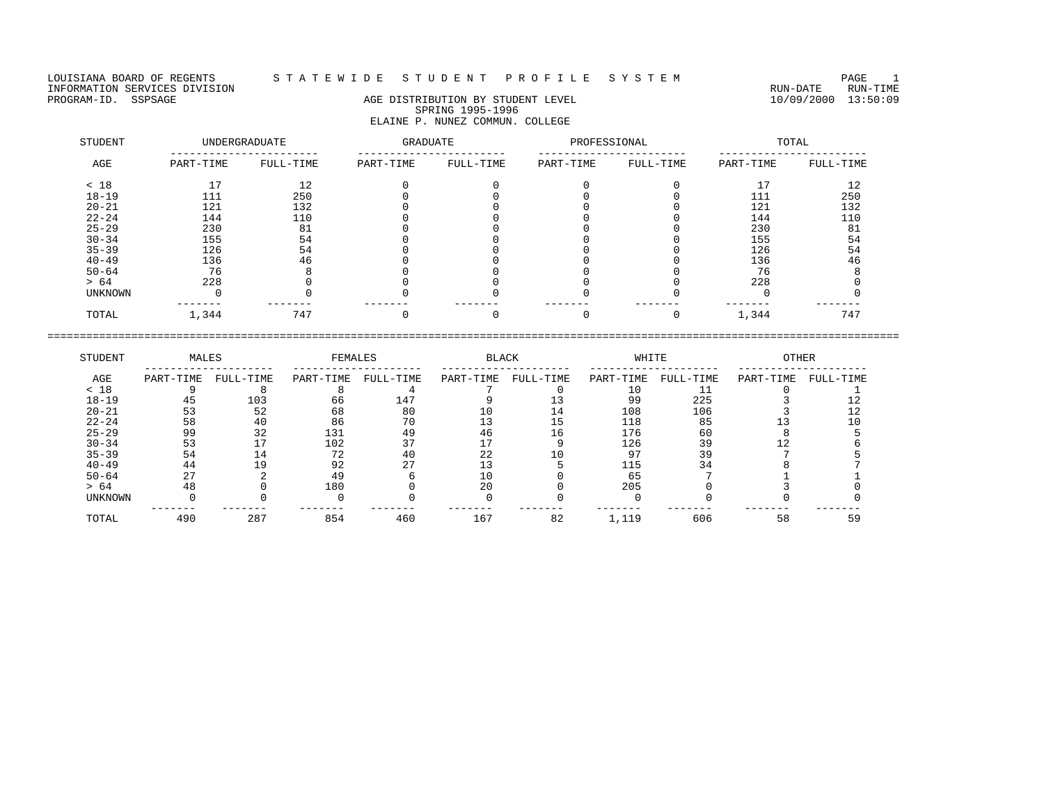LOUISIANA BOARD OF REGENTS STATEWIDE STUDENT PROFILE SYSTEM PAGE 1<br>INFORMATION SERVICES DIVISION INFORMATION SERVICES DIVISION<br>PROGRAM-ID. SSPSAGE RUN-TIME RUN-DATE RUN-TIME AGE DISTRIBUTION BY STUDENT LEVEL FOR AN ANNELL DIVOS/2000 13:50:09

## AGE DISTRIBUTION BY STUDENT LEVEL SPRING 1995-1996 ELAINE P. NUNEZ COMMUN. COLLEGE

| STUDENT        |           | UNDERGRADUATE | GRADUATE  |           | PROFESSIONAL |           |           | TOTAL     |
|----------------|-----------|---------------|-----------|-----------|--------------|-----------|-----------|-----------|
| AGE            | PART-TIME | FULL-TIME     | PART-TIME | FULL-TIME | PART-TIME    | FULL-TIME | PART-TIME | FULL-TIME |
| < 18           |           | 12            |           |           |              |           | 17        | 12        |
| $18 - 19$      | 111       | 250           |           |           |              |           | 111       | 250       |
| $20 - 21$      | 121       | 132           |           |           |              |           | 121       | 132       |
| $22 - 24$      | 144       | 110           |           |           |              |           | 144       | 110       |
| $25 - 29$      | 230       | 81            |           |           |              |           | 230       | 81        |
| $30 - 34$      | 155       | 54            |           |           |              |           | 155       | 54        |
| $35 - 39$      | 126       | 54            |           |           |              |           | 126       | 54        |
| $40 - 49$      | 136       | 46            |           |           |              |           | 136       | 46        |
| $50 - 64$      | 76        |               |           |           |              |           | 76        |           |
| > 64           | 228       |               |           |           |              |           | 228       |           |
| <b>UNKNOWN</b> |           |               |           |           |              |           |           |           |
| TOTAL          | 1,344     | 747           |           |           |              |           | 1,344     | 747       |

| STUDENT        | MALES     |           | FEMALES   |           | <b>BLACK</b> |           | WHITE     |           | <b>OTHER</b> |           |
|----------------|-----------|-----------|-----------|-----------|--------------|-----------|-----------|-----------|--------------|-----------|
| AGE            | PART-TIME | FULL-TIME | PART-TIME | FULL-TIME | PART-TIME    | FULL-TIME | PART-TIME | FULL-TIME | PART-TIME    | FULL-TIME |
| < 18           |           |           |           |           |              |           |           |           |              |           |
| $18 - 19$      | 45        | 103       | 66        | 147       |              |           | 99        | 225       |              |           |
| $20 - 21$      | 53        | 52        | 68        | 80        | 10           | L 4       | 108       | 106       |              |           |
| $22 - 24$      | 58        | 40        | 86        | 70        |              |           | 118       | 85        |              |           |
| $25 - 29$      | 99        | 32        | 131       | 49        | 46           | 16        | 176       | 60        |              |           |
| $30 - 34$      | 53        |           | 102       | 37        |              |           | 126       | 39        |              |           |
| $35 - 39$      | 54        | ⊥4        | 72        | 40        | 2.2.         |           |           | 39        |              |           |
| $40 - 49$      | 44        | 19        | 92        |           |              |           | 115       |           |              |           |
| $50 - 64$      | 27        |           | 49        |           | 10           |           | 65        |           |              |           |
| > 64           | 48        |           | 180       |           | 20           |           | 205       |           |              |           |
| <b>UNKNOWN</b> |           |           |           |           |              |           |           |           |              |           |
| TOTAL          | 490       | 287       | 854       | 460       | 167          | 82        | 1,119     | 606       | 58           | 59        |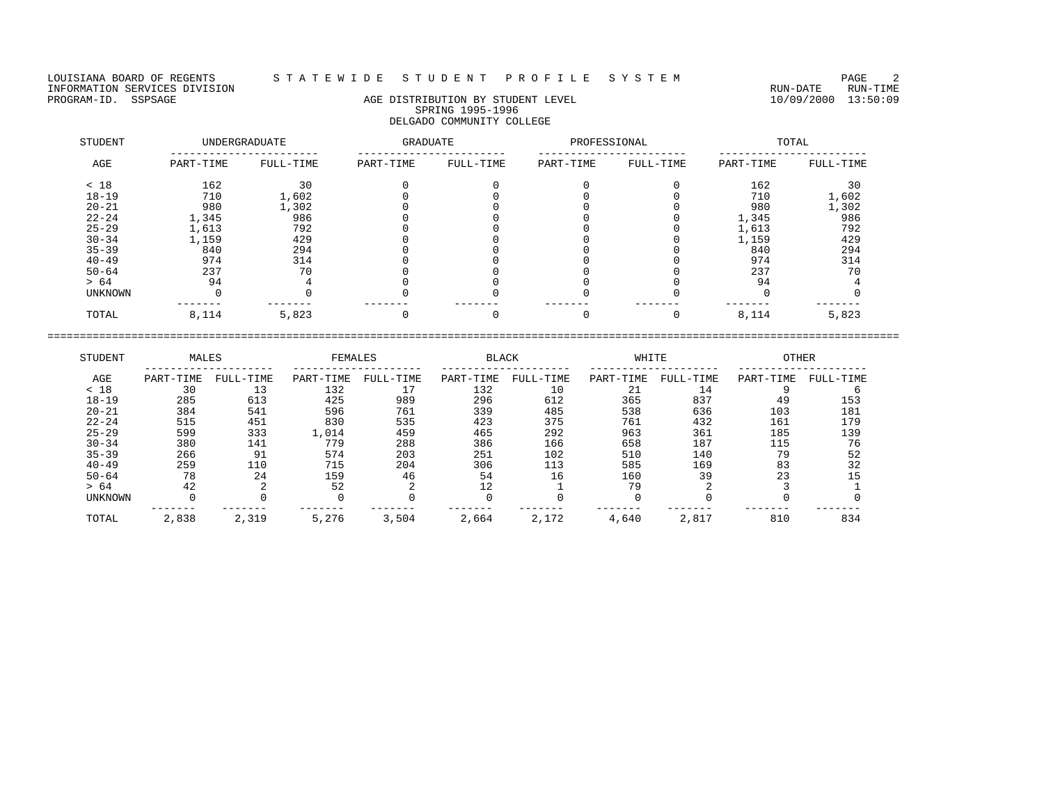LOUISIANA BOARD OF REGENTS STATEWIDE STUDENT PROFILE SYSTEM PAGE 2<br>INFORMATION SERVICES DIVISION INFORMATION SERVICES DIVISION<br>PROGRAM-ID. SSPSAGE RUN-TIME RUN-DATE RUN-TIME RUN-DATE RUN-DATE RUN-DATE RUN-DATE RUN-DATE RUN-TIME

# AGE DISTRIBUTION BY STUDENT LEVEL SPRING 1995-1996 DELGADO COMMUNITY COLLEGE

| STUDENT   |           | UNDERGRADUATE | <b>GRADUATE</b> |           | PROFESSIONAL |           |           | TOTAL     |
|-----------|-----------|---------------|-----------------|-----------|--------------|-----------|-----------|-----------|
| AGE       | PART-TIME | FULL-TIME     | PART-TIME       | FULL-TIME | PART-TIME    | FULL-TIME | PART-TIME | FULL-TIME |
| < 18      | 162       | 30            |                 |           |              |           | 162       | 30        |
| $18 - 19$ | 710       | 1,602         |                 |           |              |           | 710       | 1,602     |
| $20 - 21$ | 980       | 1,302         |                 |           |              |           | 980       | 1,302     |
| $22 - 24$ | 1,345     | 986           |                 |           |              |           | 1,345     | 986       |
| $25 - 29$ | 1,613     | 792           |                 |           |              |           | 1,613     | 792       |
| $30 - 34$ | 1,159     | 429           |                 |           |              |           | 1,159     | 429       |
| $35 - 39$ | 840       | 294           |                 |           |              |           | 840       | 294       |
| $40 - 49$ | 974       | 314           |                 |           |              |           | 974       | 314       |
| $50 - 64$ | 237       | 70            |                 |           |              |           | 237       | 70        |
| > 64      | 94        |               |                 |           |              |           | 94        |           |
| UNKNOWN   |           |               |                 |           |              |           |           |           |
| TOTAL     | 8,114     | 5,823         |                 |           |              |           | 8,114     | 5,823     |

| STUDENT        | MALES     |           | FEMALES   |           | <b>BLACK</b> |           | WHITE     |           | <b>OTHER</b> |           |
|----------------|-----------|-----------|-----------|-----------|--------------|-----------|-----------|-----------|--------------|-----------|
| AGE            | PART-TIME | FULL-TIME | PART-TIME | FULL-TIME | PART-TIME    | FULL-TIME | PART-TIME | FULL-TIME | PART-TIME    | FULL-TIME |
| < 18           | 30        |           | 132       |           | 132          | 10        | 21        | 14        |              |           |
| $18 - 19$      | 285       | 613       | 425       | 989       | 296          | 612       | 365       | 837       | 49           | 153       |
| $20 - 21$      | 384       | 541       | 596       | 761       | 339          | 485       | 538       | 636       | 103          | 181       |
| $22 - 24$      | 515       | 451       | 830       | 535       | 423          | 375       | 761       | 432       | 161          | 179       |
| $25 - 29$      | 599       | 333       | 1,014     | 459       | 465          | 292       | 963       | 361       | 185          | 139       |
| $30 - 34$      | 380       | 141       | 779       | 288       | 386          | 166       | 658       | 187       | 115          | 76        |
| $35 - 39$      | 266       | 91        | 574       | 203       | 251          | 102       | 510       | 140       | 79           | 52        |
| $40 - 49$      | 259       | 110       | 715       | 204       | 306          | 113       | 585       | 169       | 83           | 32        |
| $50 - 64$      | 78        | 24        | 159       | 46        | 54           | 16        | 160       | 39        | 23           | 15        |
| > 64           | 42        |           | 52        |           | 12           |           | 79        |           |              |           |
| <b>UNKNOWN</b> |           |           |           |           |              |           |           |           |              |           |
| TOTAL          | 2,838     | 2,319     | 5,276     | 3,504     | 2,664        | 2,172     | 4,640     | 2,817     | 810          | 834       |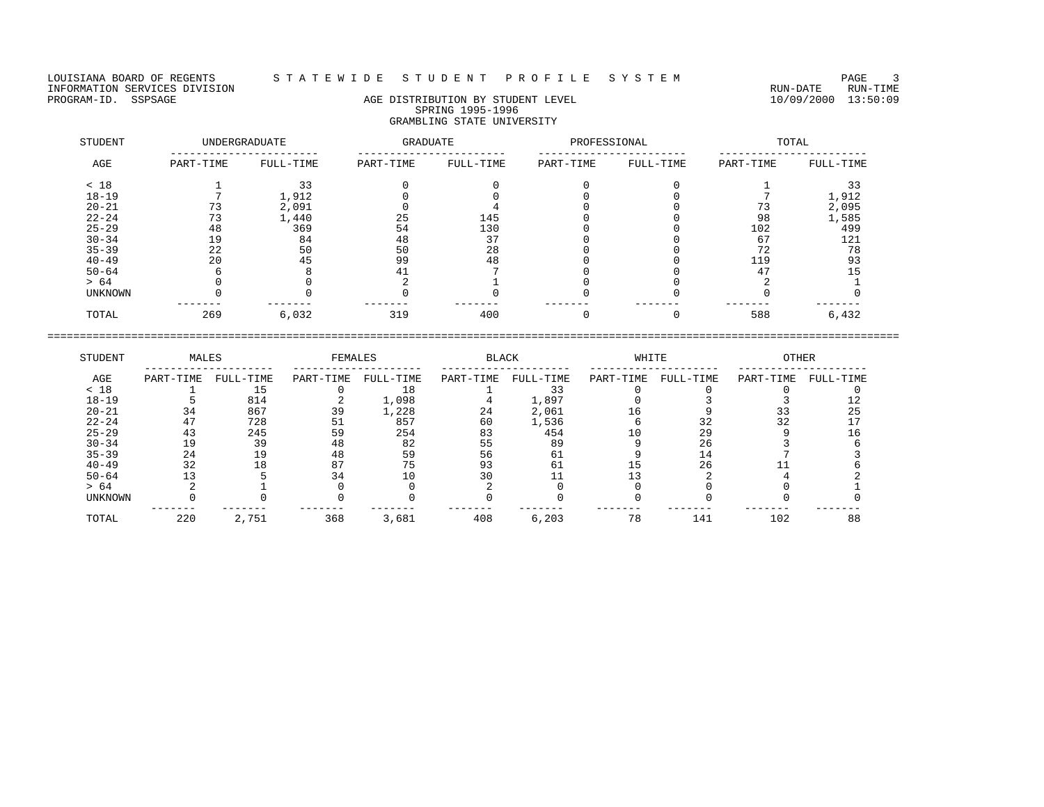## LOUISIANA BOARD OF REGENTS STA TE WIDESTUDE NT PROFILESYSTEM NAGE 3

# PROGRAM-ID. SSPSAGE AGE DISTRIBUTION BY STUDENT LEVEL 10/09/2000 13:50:09 SPRING 1995-1996 GRAMBLING STATE UNIVERSITY

| STUDENT        |           | <b>UNDERGRADUATE</b> | GRADUATE  |           | PROFESSIONAL |           |           | TOTAL     |
|----------------|-----------|----------------------|-----------|-----------|--------------|-----------|-----------|-----------|
| AGE            | PART-TIME | FULL-TIME            | PART-TIME | FULL-TIME | PART-TIME    | FULL-TIME | PART-TIME | FULL-TIME |
| < 18           |           | 33                   |           |           |              |           |           |           |
| $18 - 19$      |           | 1,912                |           |           |              |           |           | 1,912     |
| $20 - 21$      |           | 2,091                |           |           |              |           | 73        | 2,095     |
| $22 - 24$      | 73        | 1,440                | 25        | 145       |              |           | 98        | 1,585     |
| $25 - 29$      | 48        | 369                  | 54        | 130       |              |           | 102       | 499       |
| $30 - 34$      | 19        | 84                   | 48        | 37        |              |           | 67        | 121       |
| $35 - 39$      | 22        | 50                   | 50        | 28        |              |           | 72        | 78        |
| $40 - 49$      | 20        | 45                   | 99        | 48        |              |           | 119       | 93        |
| $50 - 64$      |           |                      | 41        |           |              |           | 47        |           |
| > 64           |           |                      |           |           |              |           |           |           |
| <b>UNKNOWN</b> |           |                      |           |           |              |           |           |           |
| TOTAL          | 269       | 6,032                | 319       | 400       |              |           | 588       | 6,432     |

| STUDENT        | MALES     |           | FEMALES   |           | <b>BLACK</b> |           | WHITE     |           | <b>OTHER</b> |           |
|----------------|-----------|-----------|-----------|-----------|--------------|-----------|-----------|-----------|--------------|-----------|
| AGE            | PART-TIME | FULL-TIME | PART-TIME | FULL-TIME | PART-TIME    | FULL-TIME | PART-TIME | FULL-TIME | PART-TIME    | FULL-TIME |
| < 18           |           |           |           | 18        |              |           |           |           |              |           |
| $18 - 19$      |           | 814       |           | 1,098     |              | 1,897     |           |           |              |           |
| $20 - 21$      | 34        | 867       | 39        | 1,228     | 24           | 2,061     | Lб        |           |              | 25        |
| $22 - 24$      |           | 728       | 51        | 857       | 60           | 1,536     |           |           |              |           |
| $25 - 29$      | 43        | 245       | 59        | 254       | 83           | 454       | 10        | 29        |              |           |
| $30 - 34$      |           | 39        | 48        | 82        | 55           | 89        |           | 26        |              |           |
| $35 - 39$      | 24        | 19        | 48        | 59        | 56           | 61        |           |           |              |           |
| $40 - 49$      | 32        | -8        | 87        | 75        | 93           | 61        |           | 26        |              |           |
| $50 - 64$      |           |           | 34        |           |              |           |           |           |              |           |
| > 64           |           |           |           |           |              |           |           |           |              |           |
| <b>UNKNOWN</b> |           |           |           |           |              |           |           |           |              |           |
| TOTAL          | 220       | 2,751     | 368       | 3,681     | 408          | 6,203     | 78        | 141       | 102          | 88        |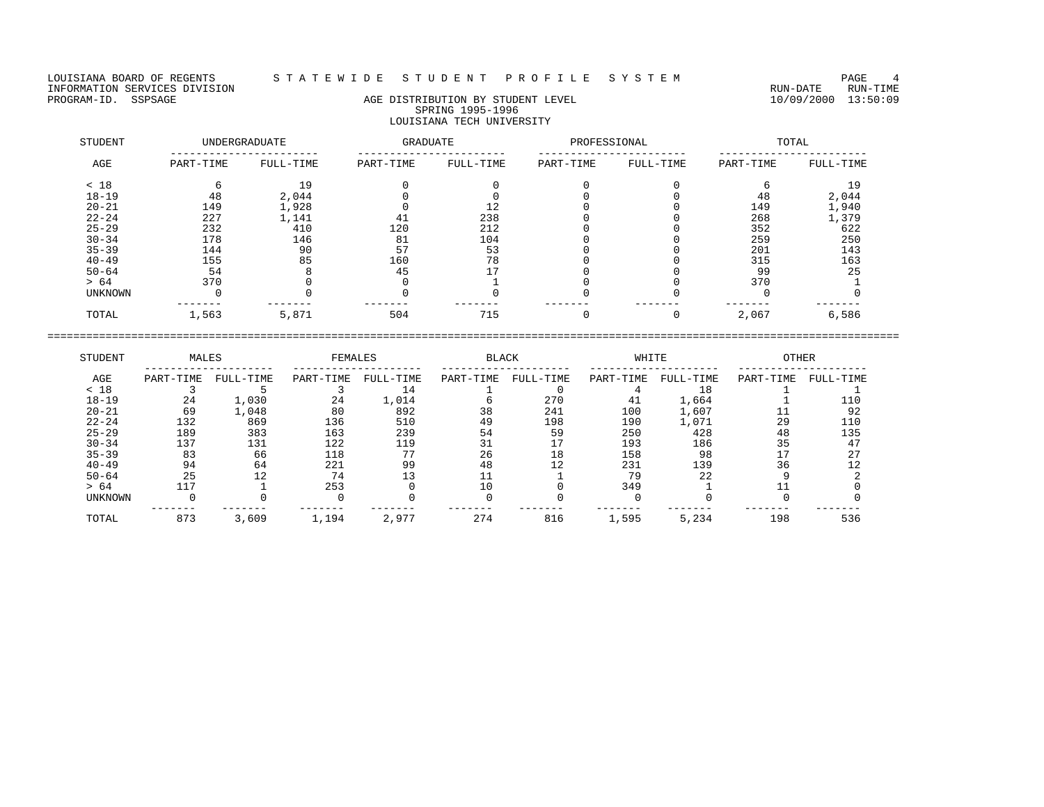## LOUISIANA BOARD OF REGENTS S T A T E W I D E S T U D E N T P R O F I L E S Y S T E M PAGE 4

# PROGRAM-ID. SSPSAGE AGE DISTRIBUTION BY STUDENT LEVEL 10/09/2000 13:50:09 SPRING 1995-1996 LOUISIANA TECH UNIVERSITY

| STUDENT        |           | UNDERGRADUATE | GRADUATE  |           | PROFESSIONAL |           |           | TOTAL     |
|----------------|-----------|---------------|-----------|-----------|--------------|-----------|-----------|-----------|
| AGE            | PART-TIME | FULL-TIME     | PART-TIME | FULL-TIME | PART-TIME    | FULL-TIME | PART-TIME | FULL-TIME |
| < 18           |           | 19            |           |           |              |           |           | 19        |
| $18 - 19$      | 48        | 2,044         |           |           |              |           | 48        | 2,044     |
| $20 - 21$      | 149       | 1,928         |           |           |              |           | 149       | 1,940     |
| $22 - 24$      | 227       | 1,141         | 41        | 238       |              |           | 268       | 1,379     |
| $25 - 29$      | 232       | 410           | 120       | 212       |              |           | 352       | 622       |
| $30 - 34$      | 178       | 146           | 81        | 104       |              |           | 259       | 250       |
| $35 - 39$      | 144       | 90            | 57        | 53        |              |           | 201       | 143       |
| $40 - 49$      | 155       | 85            | 160       | 78        |              |           | 315       | 163       |
| $50 - 64$      | 54        |               | 45        |           |              |           | 99        | 25        |
| > 64           | 370       |               |           |           |              |           | 370       |           |
| <b>UNKNOWN</b> |           |               |           |           |              |           |           |           |
| TOTAL          | 1,563     | 5,871         | 504       | 715       |              |           | 2,067     | 6,586     |

| STUDENT   | MALES     |           | FEMALES   |           | <b>BLACK</b> |           | WHITE     |           | <b>OTHER</b> |           |
|-----------|-----------|-----------|-----------|-----------|--------------|-----------|-----------|-----------|--------------|-----------|
| AGE       | PART-TIME | FULL-TIME | PART-TIME | FULL-TIME | PART-TIME    | FULL-TIME | PART-TIME | FULL-TIME | PART-TIME    | FULL-TIME |
| < 18      |           |           |           | 14        |              |           |           | 18        |              |           |
| $18 - 19$ | 24        | 1,030     | 24        | 1,014     |              | 270       | 41        | 1,664     |              |           |
| $20 - 21$ | 69        | 1,048     | 80        | 892       | 38           | 241       | 100       | 1,607     |              | 92        |
| $22 - 24$ | 132       | 869       | 136       | 510       | 49           | 198       | 190       | 1,071     | 29           | 110       |
| $25 - 29$ | 189       | 383       | 163       | 239       | 54           | 59        | 250       | 428       | 48           | 135       |
| $30 - 34$ | 137       | 131       | 122       | 119       |              |           | 193       | 186       | 35           | 47        |
| $35 - 39$ | 83        | 66        | 118       | 77        | 26           | 18        | 158       | 98        |              | 27        |
| $40 - 49$ | 94        | 64        | 221       | 99        | 48           |           | 231       | 139       | 36           |           |
| $50 - 64$ | 25        | 12        | 74        |           |              |           | 79        | 22        |              |           |
| > 64      | 117       |           | 253       |           | 10           |           | 349       |           |              |           |
| UNKNOWN   |           |           |           |           |              |           |           |           |              |           |
| TOTAL     | 873       | 3,609     | 1,194     | 2,977     | 274          | 816       | 1,595     | 5,234     | 198          | 536       |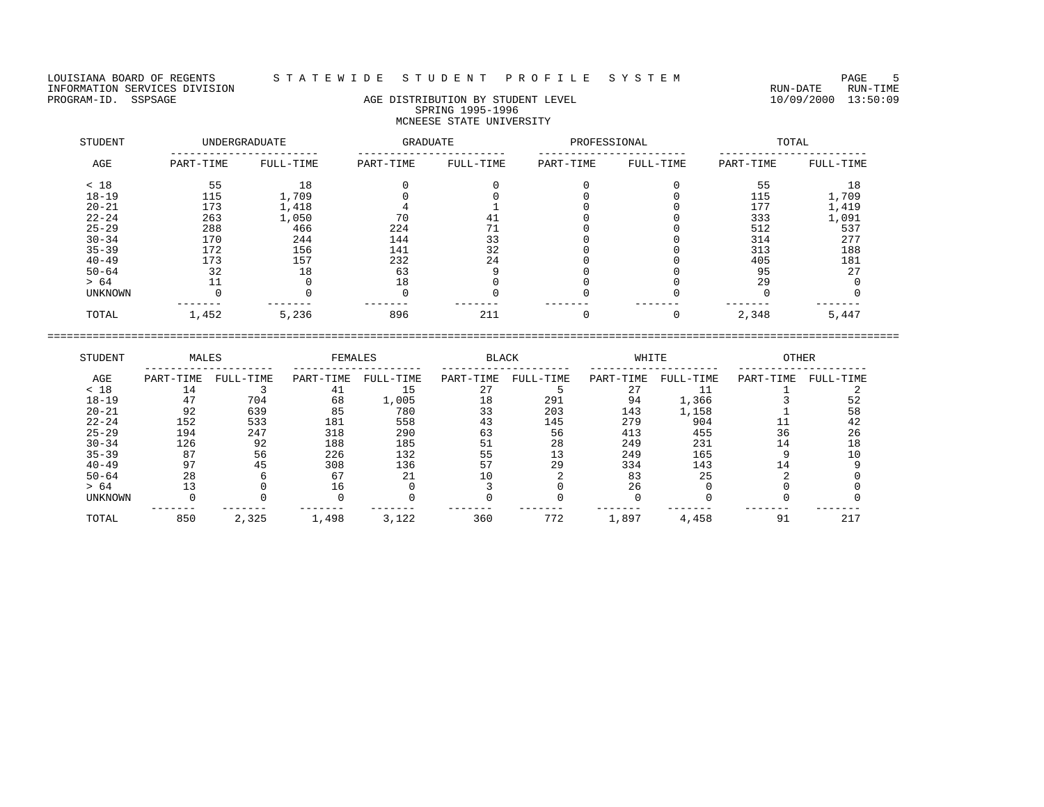## LOUISIANA BOARD OF REGENTS STA T E W I D E S T U D E N T P R O F I L E S Y S T E M PAGE 5

# PROGRAM-ID. SSPSAGE AGE DISTRIBUTION BY STUDENT LEVEL 10/09/2000 13:50:09 SPRING 1995-1996 MCNEESE STATE UNIVERSITY

| STUDENT   |           | <b>UNDERGRADUATE</b> | GRADUATE  |           | PROFESSIONAL |           |           | TOTAL     |
|-----------|-----------|----------------------|-----------|-----------|--------------|-----------|-----------|-----------|
| AGE       | PART-TIME | FULL-TIME            | PART-TIME | FULL-TIME | PART-TIME    | FULL-TIME | PART-TIME | FULL-TIME |
| < 18      | 55        | 18                   |           |           |              |           | 55        | 18        |
| $18 - 19$ | 115       | 1,709                |           |           |              |           | 115       | 1,709     |
| $20 - 21$ | 173       | 1,418                |           |           |              |           | 177       | 1,419     |
| $22 - 24$ | 263       | 1,050                | 70        | 41        |              |           | 333       | 1,091     |
| $25 - 29$ | 288       | 466                  | 224       | 71        |              |           | 512       | 537       |
| $30 - 34$ | 170       | 244                  | 144       | 33        |              |           | 314       | 277       |
| $35 - 39$ | 172       | 156                  | 141       | 32        |              |           | 313       | 188       |
| $40 - 49$ | 173       | 157                  | 232       | 24        |              |           | 405       | 181       |
| $50 - 64$ | 32        | 18                   | 63        |           |              |           | 95        | 27        |
| > 64      |           |                      | 18        |           |              |           | 29        |           |
| UNKNOWN   |           |                      |           |           |              |           |           |           |
| TOTAL     | 1,452     | 5,236                | 896       | 211       |              |           | 2,348     | 5,447     |

| STUDENT        | MALES     |           | FEMALES   |           | <b>BLACK</b> |           | WHITE     |           | <b>OTHER</b> |           |
|----------------|-----------|-----------|-----------|-----------|--------------|-----------|-----------|-----------|--------------|-----------|
| AGE            | PART-TIME | FULL-TIME | PART-TIME | FULL-TIME | PART-TIME    | FULL-TIME | PART-TIME | FULL-TIME | PART-TIME    | FULL-TIME |
| < 18           | 14        |           | 41        | 15        |              |           |           |           |              |           |
| $18 - 19$      | 47        | 704       | 68        | 1,005     | 18           | 291       | 94        | 1,366     |              | 52        |
| $20 - 21$      | 92        | 639       | 85        | 780       | 33           | 203       | 143       | 1,158     |              | 58        |
| $22 - 24$      | 152       | 533       | 181       | 558       | 43           | 145       | 279       | 904       |              | 42        |
| $25 - 29$      | 194       | 247       | 318       | 290       | 63           | 56        | 413       | 455       | 36           | 26        |
| $30 - 34$      | 126       | 92        | 188       | 185       |              | 28        | 249       | 231       |              | 18        |
| $35 - 39$      | 87        | 56        | 226       | 132       | 55           | 13        | 249       | 165       |              |           |
| $40 - 49$      | 97        | 45        | 308       | 136       |              | 29        | 334       | 143       |              |           |
| $50 - 64$      | 28        |           | 67        | 21        |              |           | 83        | 25        |              |           |
| > 64           |           |           | 16        |           |              |           | 26        |           |              |           |
| <b>UNKNOWN</b> |           |           |           |           |              |           |           |           |              |           |
| TOTAL          | 850       | 2,325     | 1,498     | 3,122     | 360          | 772       | 1,897     | 4,458     | 91           | 217       |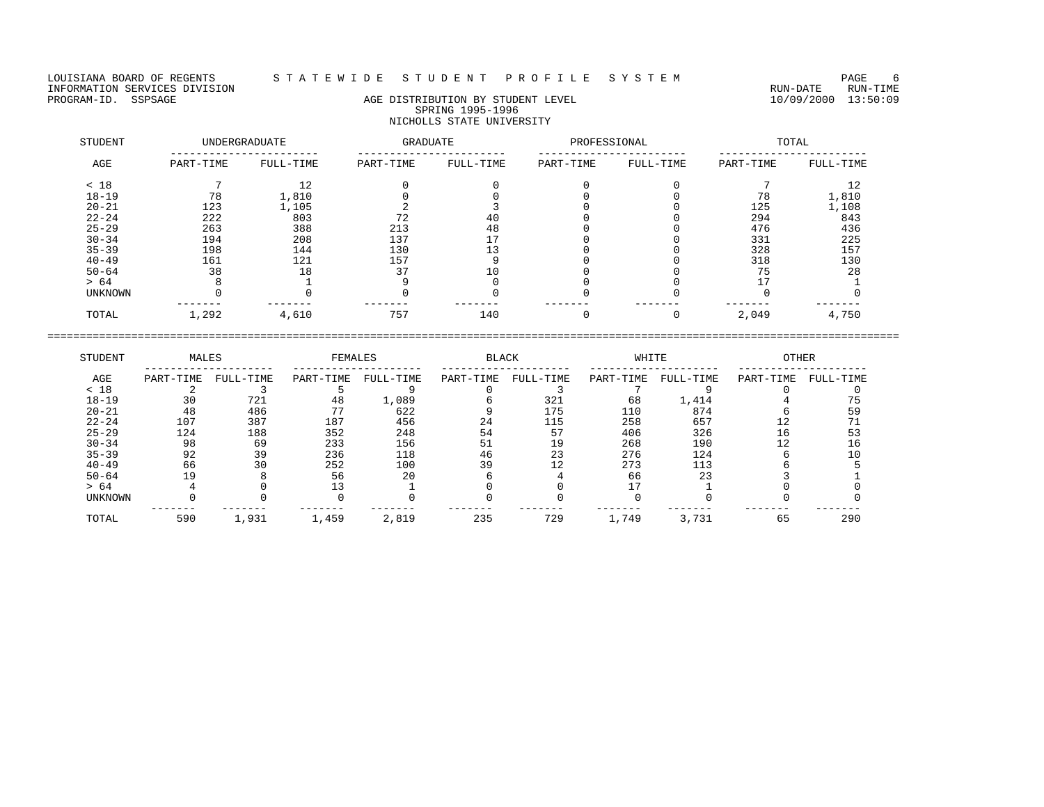## LOUISIANA BOARD OF REGENTS STA TE WIDESTUDE NT PROFILESYSTEM NAGE 6

# PROGRAM-ID. SSPSAGE AGE DISTRIBUTION BY STUDENT LEVEL 10/09/2000 13:50:09 SPRING 1995-1996 NICHOLLS STATE UNIVERSITY

| STUDENT        |           | UNDERGRADUATE | GRADUATE  |           | PROFESSIONAL |           |           | TOTAL     |
|----------------|-----------|---------------|-----------|-----------|--------------|-----------|-----------|-----------|
| AGE            | PART-TIME | FULL-TIME     | PART-TIME | FULL-TIME | PART-TIME    | FULL-TIME | PART-TIME | FULL-TIME |
| < 18           |           | 12            |           |           |              |           |           | 12        |
| $18 - 19$      | 78        | 1,810         |           |           |              |           | 78        | 1,810     |
| $20 - 21$      | 123       | 1,105         |           |           |              |           | 125       | 1,108     |
| $22 - 24$      | 222       | 803           | 72        | 40        |              |           | 294       | 843       |
| $25 - 29$      | 263       | 388           | 213       | 48        |              |           | 476       | 436       |
| $30 - 34$      | 194       | 208           | 137       |           |              |           | 331       | 225       |
| $35 - 39$      | 198       | 144           | 130       | 13        |              |           | 328       | 157       |
| $40 - 49$      | 161       | 121           | 157       |           |              |           | 318       | 130       |
| $50 - 64$      | 38        | 18            | 37        | 10        |              |           | 75        | 28        |
| > 64           |           |               |           |           |              |           |           |           |
| <b>UNKNOWN</b> |           |               |           |           |              |           |           |           |
| TOTAL          | 1,292     | 4,610         | 757       | 140       |              |           | 2,049     | 4,750     |

| STUDENT        | MALES     |           | FEMALES   |           | <b>BLACK</b> |           | WHITE     |           | <b>OTHER</b> |           |
|----------------|-----------|-----------|-----------|-----------|--------------|-----------|-----------|-----------|--------------|-----------|
| AGE            | PART-TIME | FULL-TIME | PART-TIME | FULL-TIME | PART-TIME    | FULL-TIME | PART-TIME | FULL-TIME | PART-TIME    | FULL-TIME |
| < 18           |           |           |           |           |              |           |           |           |              |           |
| $18 - 19$      | 30        | 721       | 48        | 1,089     |              | 321       | 68        | 1,414     |              |           |
| $20 - 21$      | 48        | 486       | 77        | 622       |              | 175       | 110       | 874       |              | 59        |
| $22 - 24$      | 107       | 387       | 187       | 456       | 24           | 115       | 258       | 657       |              |           |
| $25 - 29$      | 124       | 188       | 352       | 248       | 54           | 57        | 406       | 326       |              | 53        |
| $30 - 34$      | 98        | 69        | 233       | 156       | 51           | 19        | 268       | 190       |              | 16        |
| $35 - 39$      | 92        | 39        | 236       | 118       | 46           | 23        | 276       | 124       |              | 10        |
| $40 - 49$      | 66        | 30        | 252       | 100       | 39           | 12        | 273       | 113       |              |           |
| $50 - 64$      | 19        |           | 56        | 20        |              |           | 66        | 23        |              |           |
| > 64           |           |           |           |           |              |           |           |           |              |           |
| <b>UNKNOWN</b> |           |           |           |           |              |           |           |           |              |           |
| TOTAL          | 590       | 1,931     | 1,459     | 2,819     | 235          | 729       | 1,749     | 3,731     | 65           | 290       |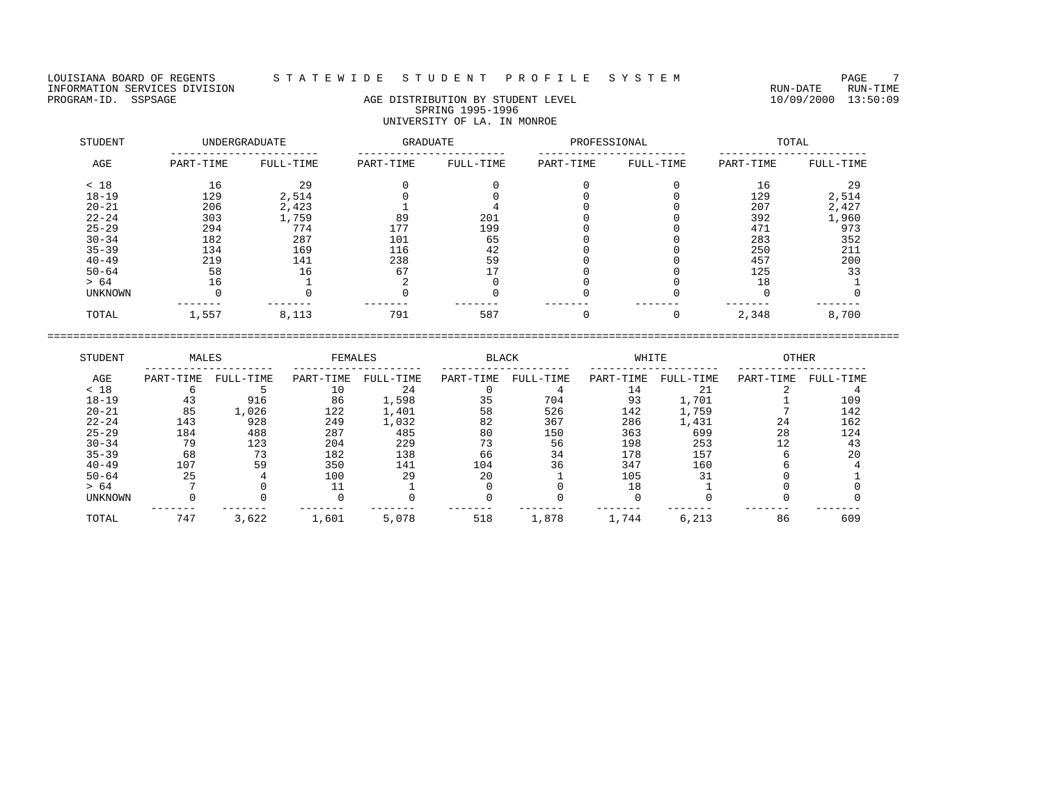LOUISIANA BOARD OF REGENTS STATEWIDE STUDENT PROFILE SYSTEM PAGE 7<br>INFORMATION SERVICES DIVISION INFORMATION SERVICES DIVISION<br>PROGRAM-ID. SSPSAGE RUN-TIME RUN-DATE RUN-TIME RUN-DATE RUN-DATE RUN-DATE RUN-DATE RUN-DATE RUN-TIME

# AGE DISTRIBUTION BY STUDENT LEVEL SPRING 1995-1996 UNIVERSITY OF LA. IN MONROE

| STUDENT   |           | <b>UNDERGRADUATE</b> | GRADUATE  |           | PROFESSIONAL |           |           | TOTAL     |
|-----------|-----------|----------------------|-----------|-----------|--------------|-----------|-----------|-----------|
| AGE       | PART-TIME | FULL-TIME            | PART-TIME | FULL-TIME | PART-TIME    | FULL-TIME | PART-TIME | FULL-TIME |
| < 18      | 16        | 29                   |           |           |              |           | 16        | 29        |
| $18 - 19$ | 129       | 2,514                |           |           |              |           | 129       | 2,514     |
| $20 - 21$ | 206       | 2,423                |           |           |              |           | 207       | 2,427     |
| $22 - 24$ | 303       | 1,759                | 89        | 201       |              |           | 392       | 1,960     |
| $25 - 29$ | 294       | 774                  | 177       | 199       |              |           | 471       | 973       |
| $30 - 34$ | 182       | 287                  | 101       | 65        |              |           | 283       | 352       |
| $35 - 39$ | 134       | 169                  | 116       | 42        |              |           | 250       | 211       |
| $40 - 49$ | 219       | 141                  | 238       | 59        |              |           | 457       | 200       |
| $50 - 64$ | 58        | 16                   | 67        |           |              |           | 125       | 33        |
| > 64      | 16        |                      |           |           |              |           | 18        |           |
| UNKNOWN   |           |                      |           |           |              |           |           |           |
| TOTAL     | 1,557     | 8,113                | 791       | 587       |              |           | 2,348     | 8,700     |

| STUDENT        | MALES     |           | FEMALES   |           | <b>BLACK</b> |           | WHITE     |           | <b>OTHER</b> |           |
|----------------|-----------|-----------|-----------|-----------|--------------|-----------|-----------|-----------|--------------|-----------|
| AGE            | PART-TIME | FULL-TIME | PART-TIME | FULL-TIME | PART-TIME    | FULL-TIME | PART-TIME | FULL-TIME | PART-TIME    | FULL-TIME |
| < 18           |           |           | 10        | 24        |              |           | 14        | 21        |              |           |
| $18 - 19$      | 43        | 916       | 86        | 1,598     | 35           | 704       | 93        | 1,701     |              | 109       |
| $20 - 21$      | 85        | 1,026     | 122       | 1,401     | 58           | 526       | 142       | 1,759     |              | 142       |
| $22 - 24$      | 143       | 928       | 249       | 1,032     | 82           | 367       | 286       | 1,431     | 24           | 162       |
| $25 - 29$      | 184       | 488       | 287       | 485       | 80           | 150       | 363       | 699       | 28           | 124       |
| $30 - 34$      | 79        | 123       | 204       | 229       |              | 56        | 198       | 253       |              | 43        |
| $35 - 39$      | 68        | 73        | 182       | 138       | 66           | 34        | 178       | 157       |              | 20        |
| $40 - 49$      | 107       | 59        | 350       | 141       | 104          | 36        | 347       | 160       |              |           |
| $50 - 64$      | 25        |           | 100       | 29        | 20           |           | 105       | 31        |              |           |
| > 64           |           |           |           |           |              |           | 18        |           |              |           |
| <b>UNKNOWN</b> |           |           |           |           |              |           |           |           |              |           |
| TOTAL          | 747       | 3,622     | 1,601     | 5,078     | 518          | 1,878     | 1,744     | 6,213     | 86           | 609       |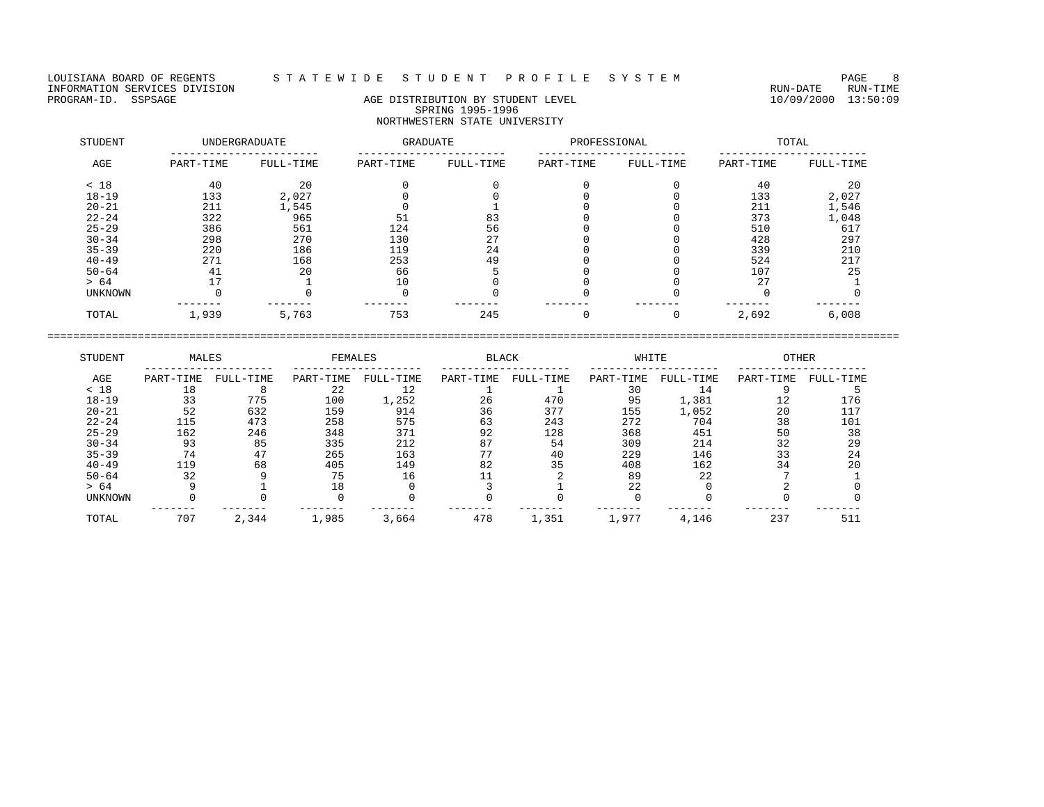LOUISIANA BOARD OF REGENTS STATEWIDE STUDENT PROFILE SYSTEM PAGE 8 PAGE 8<br>INFORMATION SERVICES DIVISION INFORMATION SERVICES DIVISION<br>PROGRAM-ID. SSPSAGE RUN-TIME RUN-DATE RUN-TIME RUN-DATE RUN-DATE RUN-DATE RUN-DATE RUN-DATE RUN-TIME

# AGE DISTRIBUTION BY STUDENT LEVEL SPRING 1995-1996 NORTHWESTERN STATE UNIVERSITY

| STUDENT   |           | UNDERGRADUATE | GRADUATE  |           | PROFESSIONAL |           |           | TOTAL     |
|-----------|-----------|---------------|-----------|-----------|--------------|-----------|-----------|-----------|
| AGE       | PART-TIME | FULL-TIME     | PART-TIME | FULL-TIME | PART-TIME    | FULL-TIME | PART-TIME | FULL-TIME |
| < 18      | 40        | 20            |           |           |              |           | 40        | 20        |
| $18 - 19$ | 133       | 2,027         |           |           |              |           | 133       | 2,027     |
| $20 - 21$ | 211       | 1,545         |           |           |              |           | 211       | 1,546     |
| $22 - 24$ | 322       | 965           | 51        | 83        |              |           | 373       | 1,048     |
| $25 - 29$ | 386       | 561           | 124       | 56        |              |           | 510       | 617       |
| $30 - 34$ | 298       | 270           | 130       | 27        |              |           | 428       | 297       |
| $35 - 39$ | 220       | 186           | 119       | 24        |              |           | 339       | 210       |
| $40 - 49$ | 271       | 168           | 253       | 49        |              |           | 524       | 217       |
| $50 - 64$ | 41        | 20            | 66        |           |              |           | 107       | 25        |
| > 64      | 17        |               | 10        |           |              |           | 27        |           |
| UNKNOWN   |           |               |           |           |              |           |           |           |
| TOTAL     | 1,939     | 5,763         | 753       | 245       |              | 0         | 2,692     | 6,008     |

| STUDENT        | MALES     |           | FEMALES   |           | <b>BLACK</b> |           | WHITE     |           | <b>OTHER</b> |           |
|----------------|-----------|-----------|-----------|-----------|--------------|-----------|-----------|-----------|--------------|-----------|
| AGE            | PART-TIME | FULL-TIME | PART-TIME | FULL-TIME | PART-TIME    | FULL-TIME | PART-TIME | FULL-TIME | PART-TIME    | FULL-TIME |
| < 18           | 18        |           | 22        | 12        |              |           | 30        | 14        |              |           |
| $18 - 19$      | 33        | 775       | 100       | 1,252     | 26           | 470       | 95        | 1,381     | 12           | 176       |
| $20 - 21$      | 52        | 632       | 159       | 914       | 36           | 377       | 155       | 1,052     | 20           | 117       |
| $22 - 24$      | 115       | 473       | 258       | 575       | 63           | 243       | 272       | 704       | 38           | 101       |
| $25 - 29$      | 162       | 246       | 348       | 371       | 92           | 128       | 368       | 451       | 50           | 38        |
| $30 - 34$      | 93        | 85        | 335       | 212       | 87           | 54        | 309       | 214       | 32           | 29        |
| $35 - 39$      | 74        |           | 265       | 163       |              | 40        | 229       | 146       | 33           | 24        |
| $40 - 49$      | 119       | 68        | 405       | 149       | 82           | 35        | 408       | 162       | 34           | 20        |
| $50 - 64$      | 32        |           | 75        | 16        |              |           | 89        | 22        |              |           |
| > 64           |           |           | 18        |           |              |           | 22        |           |              |           |
| <b>UNKNOWN</b> |           |           |           |           |              |           |           |           |              |           |
| TOTAL          | 707       | 2,344     | 1,985     | 3,664     | 478          | 1,351     | 1,977     | 4,146     | 237          | 511       |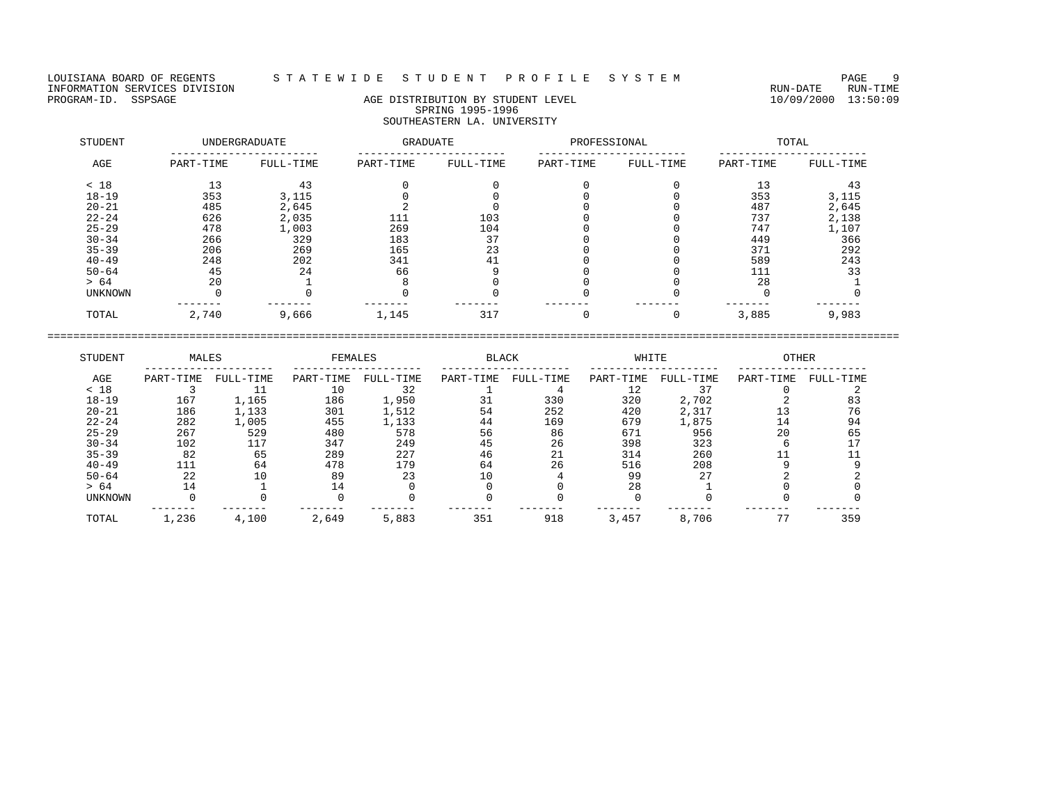## LOUISIANA BOARD OF REGENTS S T A T E W I D E S T U D E N T P R O F I L E S Y S T E M PAGE 9

# PROGRAM-ID. SSPSAGE AGE DISTRIBUTION BY STUDENT LEVEL 10/09/2000 13:50:09 SPRING 1995-1996 SOUTHEASTERN LA. UNIVERSITY

| STUDENT        |           | UNDERGRADUATE | GRADUATE  |           | PROFESSIONAL |           |           | TOTAL     |
|----------------|-----------|---------------|-----------|-----------|--------------|-----------|-----------|-----------|
| AGE            | PART-TIME | FULL-TIME     | PART-TIME | FULL-TIME | PART-TIME    | FULL-TIME | PART-TIME | FULL-TIME |
| < 18           | 13        | 43            |           |           |              |           | 13        | 43        |
| $18 - 19$      | 353       | 3,115         |           |           |              |           | 353       | 3,115     |
| $20 - 21$      | 485       | 2,645         |           |           |              |           | 487       | 2,645     |
| $22 - 24$      | 626       | 2,035         | 111       | 103       |              |           | 737       | 2,138     |
| $25 - 29$      | 478       | 1,003         | 269       | 104       |              |           | 747       | 1,107     |
| $30 - 34$      | 266       | 329           | 183       | 37        |              |           | 449       | 366       |
| $35 - 39$      | 206       | 269           | 165       | 23        |              |           | 371       | 292       |
| $40 - 49$      | 248       | 202           | 341       | 41        |              |           | 589       | 243       |
| $50 - 64$      | 45        | 24            | 66        |           |              |           | 111       | 33        |
| > 64           | 20        |               |           |           |              |           | 28        |           |
| <b>UNKNOWN</b> |           |               |           |           |              |           |           |           |
| TOTAL          | 2,740     | 9,666         | 1,145     | 317       |              | 0         | 3,885     | 9,983     |

| STUDENT        | MALES     |           | FEMALES   |           | <b>BLACK</b> |           | WHITE     |           | <b>OTHER</b> |           |
|----------------|-----------|-----------|-----------|-----------|--------------|-----------|-----------|-----------|--------------|-----------|
| AGE            | PART-TIME | FULL-TIME | PART-TIME | FULL-TIME | PART-TIME    | FULL-TIME | PART-TIME | FULL-TIME | PART-TIME    | FULL-TIME |
| < 18           |           |           | 10        | 32        |              |           |           |           |              |           |
| $18 - 19$      | 167       | 1,165     | 186       | 1,950     |              | 330       | 320       | 2,702     |              | 83        |
| $20 - 21$      | 186       | 1,133     | 301       | 1,512     | 54           | 252       | 420       | 2,317     |              | 76        |
| $22 - 24$      | 282       | 1,005     | 455       | 1,133     | 44           | 169       | 679       | 1,875     |              | 94        |
| $25 - 29$      | 267       | 529       | 480       | 578       | 56           | 86        | 671       | 956       | 20           | 65        |
| $30 - 34$      | 102       | 117       | 347       | 249       | 45           | 26        | 398       | 323       |              |           |
| $35 - 39$      | 82        | 65        | 289       | 227       | 46           | 21        | 314       | 260       |              |           |
| $40 - 49$      | 111       | 64        | 478       | 179       | 64           | 26        | 516       | 208       |              |           |
| $50 - 64$      | 22        |           | 89        | 23        |              |           | 99        | 27        |              |           |
| > 64           | 14        |           |           |           |              |           | 28        |           |              |           |
| <b>UNKNOWN</b> |           |           |           |           |              |           |           |           |              |           |
| TOTAL          | 1,236     | 4,100     | 2,649     | 5,883     | 351          | 918       | 3,457     | 8,706     | 77           | 359       |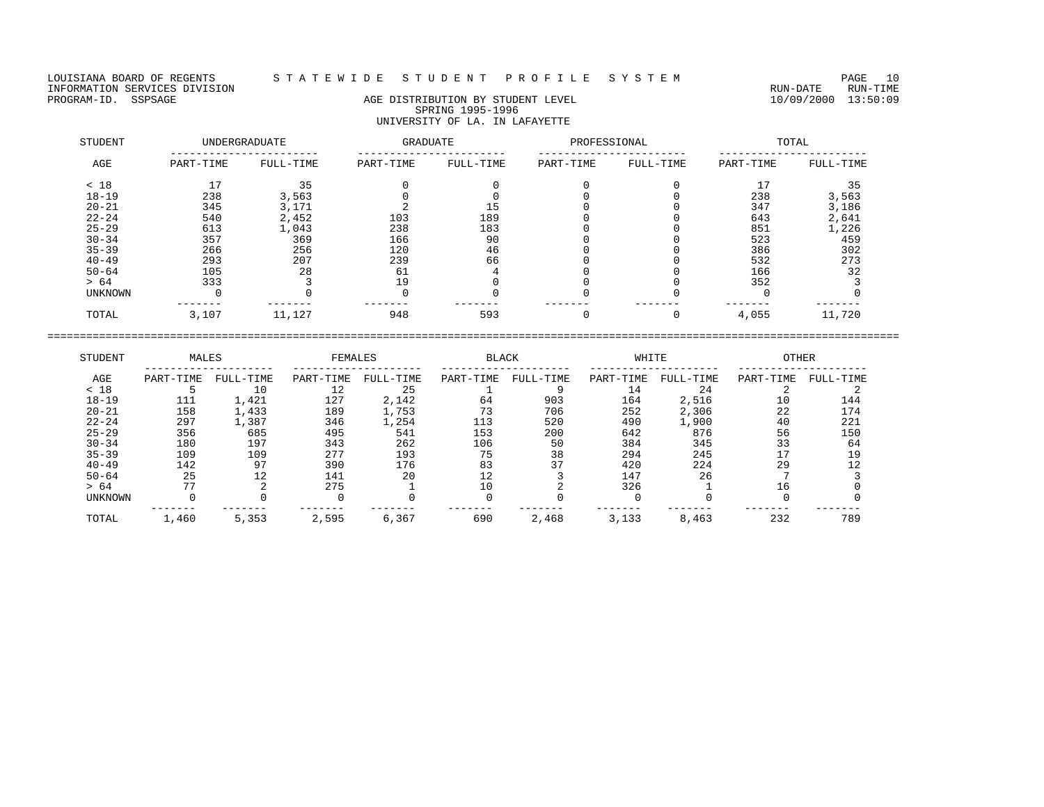LOUISIANA BOARD OF REGENTS STATEWIDE STUDENT PROFILE SYSTEM PAGE 10<br>INFORMATION SERVICES DIVISION INFORMATION SERVICES DIVISION<br>PROGRAM-ID. SSPSAGE RUN-TIME RUN-DATE RUN-TIME RUN-DATE RUN-DATE RUN-DATE RUN-DATE RUN-DATE RUN-TIME

## AGE DISTRIBUTION BY STUDENT LEVEL SPRING 1995-1996 UNIVERSITY OF LA. IN LAFAYETTE

| STUDENT   |           | UNDERGRADUATE | GRADUATE  |           | PROFESSIONAL |           |           | TOTAL     |
|-----------|-----------|---------------|-----------|-----------|--------------|-----------|-----------|-----------|
| AGE       | PART-TIME | FULL-TIME     | PART-TIME | FULL-TIME | PART-TIME    | FULL-TIME | PART-TIME | FULL-TIME |
| < 18      | 77        | 35            |           |           |              |           | 17        | 35        |
| $18 - 19$ | 238       | 3,563         |           |           |              |           | 238       | 3,563     |
| $20 - 21$ | 345       | 3,171         |           | 15        |              |           | 347       | 3,186     |
| $22 - 24$ | 540       | 2,452         | 103       | 189       |              |           | 643       | 2,641     |
| $25 - 29$ | 613       | 1,043         | 238       | 183       |              |           | 851       | 1,226     |
| $30 - 34$ | 357       | 369           | 166       | 90        |              |           | 523       | 459       |
| $35 - 39$ | 266       | 256           | 120       | 46        |              |           | 386       | 302       |
| $40 - 49$ | 293       | 207           | 239       | 66        |              |           | 532       | 273       |
| $50 - 64$ | 105       | 28            | 61        |           |              |           | 166       | 32        |
| > 64      | 333       |               | 19        |           |              |           | 352       |           |
| UNKNOWN   |           |               |           |           |              |           |           |           |
| TOTAL     | 3,107     | 11,127        | 948       | 593       |              | 0         | 4,055     | 11,720    |

| STUDENT        | MALES     |           | FEMALES   |           | <b>BLACK</b> |           | WHITE     |           | <b>OTHER</b> |           |
|----------------|-----------|-----------|-----------|-----------|--------------|-----------|-----------|-----------|--------------|-----------|
| AGE            | PART-TIME | FULL-TIME | PART-TIME | FULL-TIME | PART-TIME    | FULL-TIME | PART-TIME | FULL-TIME | PART-TIME    | FULL-TIME |
| < 18           |           | 10        | 12        | 25        |              |           | 14        | 24        |              |           |
| $18 - 19$      | 111       | 1,421     | 127       | 2,142     | 64           | 903       | 164       | 2,516     | 10           | 144       |
| $20 - 21$      | 158       | 1,433     | 189       | 1,753     |              | 706       | 252       | 2,306     | 22           | 174       |
| $22 - 24$      | 297       | L, 387    | 346       | 1,254     | 113          | 520       | 490       | 1,900     | 40           | 221       |
| $25 - 29$      | 356       | 685       | 495       | 541       | 153          | 200       | 642       | 876       | 56           | 150       |
| $30 - 34$      | 180       | 197       | 343       | 262       | 106          | 50        | 384       | 345       | 33           | 64        |
| $35 - 39$      | 109       | 109       | 277       | 193       | 75           | 38        | 294       | 245       |              | 19        |
| $40 - 49$      | 142       | 97        | 390       | 176       | 83           | 37        | 420       | 224       | 29           | 12        |
| $50 - 64$      | 25        | 12        | 141       | 20        | 12           |           | 147       | 26        |              |           |
| > 64           | 77        |           | 275       |           | 10           |           | 326       |           | 16           |           |
| <b>UNKNOWN</b> |           |           |           |           |              |           |           |           |              |           |
| TOTAL          | 1,460     | 5,353     | 2,595     | 6,367     | 690          | 2,468     | 3,133     | 8,463     | 232          | 789       |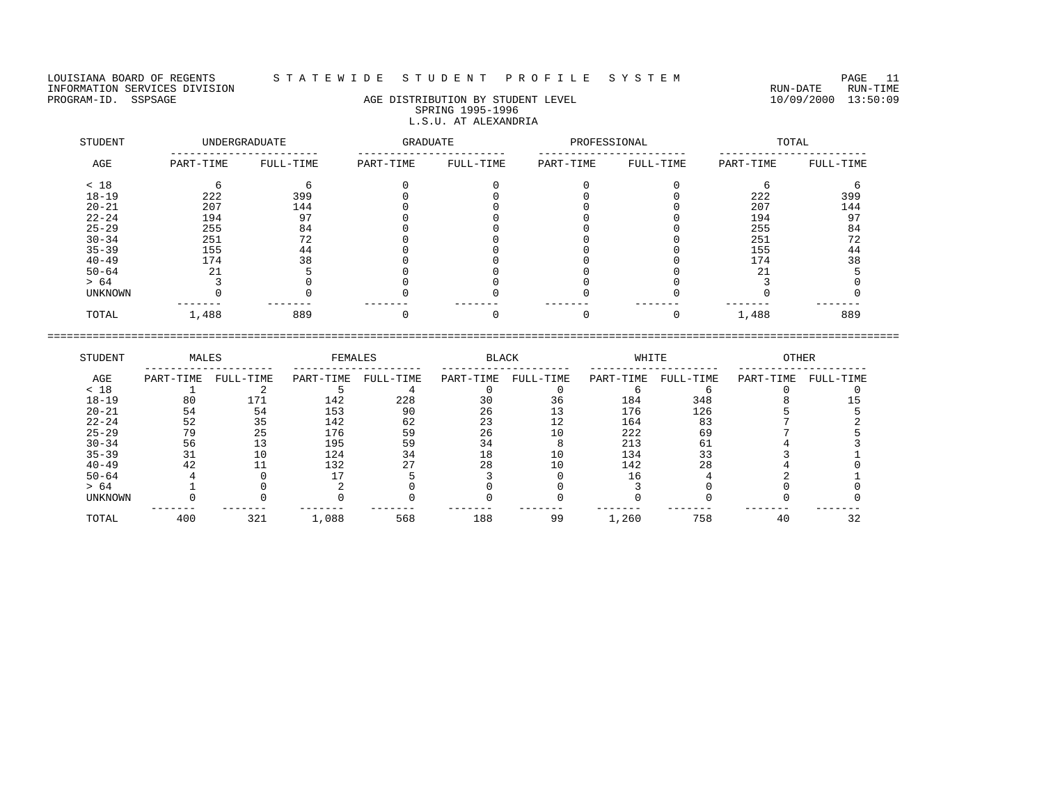## LOUISIANA BOARD OF REGENTS S T A T E W I D E S T U D E N T P R O F I L E S Y S T E M PAGE 11

# PROGRAM-ID. SSPSAGE AGE DISTRIBUTION BY STUDENT LEVEL 10/09/2000 13:50:09 SPRING 1995-1996 L.S.U. AT ALEXANDRIA

| STUDENT   |           | UNDERGRADUATE | <b>GRADUATE</b> |           | PROFESSIONAL |           |           | TOTAL     |
|-----------|-----------|---------------|-----------------|-----------|--------------|-----------|-----------|-----------|
| AGE       | PART-TIME | FULL-TIME     | PART-TIME       | FULL-TIME | PART-TIME    | FULL-TIME | PART-TIME | FULL-TIME |
| < 18      |           |               |                 |           |              |           |           |           |
| $18 - 19$ | 222       | 399           |                 |           |              |           | 222       | 399       |
| $20 - 21$ | 207       | 144           |                 |           |              |           | 207       | 144       |
| $22 - 24$ | 194       | 97            |                 |           |              |           | 194       | 97        |
| $25 - 29$ | 255       | 84            |                 |           |              |           | 255       | 84        |
| $30 - 34$ | 251       | 72            |                 |           |              |           | 251       | 72        |
| $35 - 39$ | 155       | 44            |                 |           |              |           | 155       | 44        |
| $40 - 49$ | 174       | 38            |                 |           |              |           | 174       | 38        |
| $50 - 64$ | 21        |               |                 |           |              |           | 21        |           |
| > 64      |           |               |                 |           |              |           |           |           |
| UNKNOWN   |           |               |                 |           |              |           |           |           |
| TOTAL     | 1,488     | 889           |                 |           |              |           | 1,488     | 889       |

| STUDENT        | MALES     |           | FEMALES   |           | <b>BLACK</b> |           | WHITE     |           | <b>OTHER</b> |           |
|----------------|-----------|-----------|-----------|-----------|--------------|-----------|-----------|-----------|--------------|-----------|
| AGE            | PART-TIME | FULL-TIME | PART-TIME | FULL-TIME | PART-TIME    | FULL-TIME | PART-TIME | FULL-TIME | PART-TIME    | FULL-TIME |
| < 18           |           |           |           |           |              |           |           |           |              |           |
| $18 - 19$      | 80        |           | 142       | 228       | 30           | 36        | 184       | 348       |              |           |
| $20 - 21$      | 54        | 54        | 153       | 90        | 26           |           | 176       | 126       |              |           |
| $22 - 24$      | 52        | 35        | 142       | 62        | 23           | 12        | 164       | 83        |              |           |
| $25 - 29$      | 79        | 25        | 176       | 59        | 26           | 10        | 222       | 69        |              |           |
| $30 - 34$      | 56        | 13        | 195       | 59        |              |           | 213       | 61        |              |           |
| $35 - 39$      | 31        |           | 124       | 34        | 18           |           | 134       | 33        |              |           |
| $40 - 49$      | 42        |           | 132       |           | 28           | 10        | 142       | 28        |              |           |
| $50 - 64$      |           |           |           |           |              |           |           |           |              |           |
| > 64           |           |           |           |           |              |           |           |           |              |           |
| <b>UNKNOWN</b> |           |           |           |           |              |           |           |           |              |           |
| TOTAL          | 400       | 321       | 1,088     | 568       | 188          | 99        | 1,260     | 758       | 4 G          | 32        |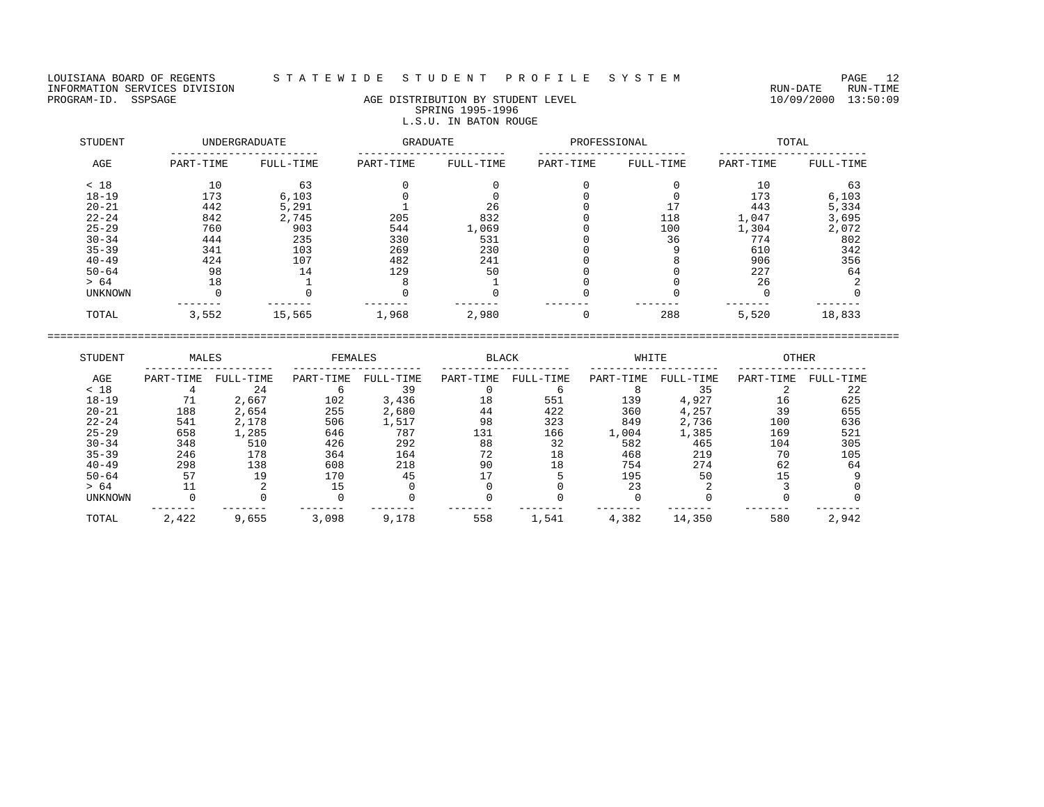LOUISIANA BOARD OF REGENTS STATEWIDE STUDENT PROFILE SYSTEM PAGE 12<br>INFORMATION SERVICES DIVISION INFORMATION SERVICES DIVISION<br>PROGRAM-ID. SSPSAGE RUN-TIME RUN-DATE RUN-TIME RUN-DATE RUN-TIME<br>PROGRAM-ID. SSPSAGE 13:50:09

## AGE DISTRIBUTION BY STUDENT LEVEL SPRING 1995-1996 L.S.U. IN BATON ROUGE

| STUDENT   |           | <b>UNDERGRADUATE</b> | GRADUATE  |           | PROFESSIONAL |           |           | TOTAL     |
|-----------|-----------|----------------------|-----------|-----------|--------------|-----------|-----------|-----------|
| AGE       | PART-TIME | FULL-TIME            | PART-TIME | FULL-TIME | PART-TIME    | FULL-TIME | PART-TIME | FULL-TIME |
| < 18      | 10        | 63                   |           |           |              |           | 10        | 63        |
| $18 - 19$ | 173       | 6,103                |           |           |              |           | 173       | 6,103     |
| $20 - 21$ | 442       | 5,291                |           | 26        |              |           | 443       | 5,334     |
| $22 - 24$ | 842       | 2,745                | 205       | 832       |              | 118       | 1,047     | 3,695     |
| $25 - 29$ | 760       | 903                  | 544       | 1,069     |              | 100       | 1,304     | 2,072     |
| $30 - 34$ | 444       | 235                  | 330       | 531       |              | 36        | 774       | 802       |
| $35 - 39$ | 341       | 103                  | 269       | 230       |              |           | 610       | 342       |
| $40 - 49$ | 424       | 107                  | 482       | 241       |              |           | 906       | 356       |
| $50 - 64$ | 98        | 14                   | 129       | 50        |              |           | 227       | 64        |
| > 64      | 18        |                      |           |           |              |           | 26        |           |
| UNKNOWN   |           |                      |           |           |              |           |           |           |
| TOTAL     | 3,552     | 15,565               | 1,968     | 2,980     |              | 288       | 5,520     | 18,833    |

| STUDENT        | MALES     |           | FEMALES   |           | <b>BLACK</b> |           | WHITE     |           | <b>OTHER</b> |           |
|----------------|-----------|-----------|-----------|-----------|--------------|-----------|-----------|-----------|--------------|-----------|
| AGE            | PART-TIME | FULL-TIME | PART-TIME | FULL-TIME | PART-TIME    | FULL-TIME | PART-TIME | FULL-TIME | PART-TIME    | FULL-TIME |
| < 18           |           | 24        |           | 39        |              |           |           | 35        |              | 22        |
| $18 - 19$      |           | 2,667     | 102       | 3,436     | 18           | 551       | 139       | 4,927     | 16           | 625       |
| $20 - 21$      | 188       | 2,654     | 255       | 2,680     | 44           | 422       | 360       | 4,257     | 39           | 655       |
| $22 - 24$      | 541       | 2,178     | 506       | 1,517     | 98           | 323       | 849       | 2,736     | 100          | 636       |
| $25 - 29$      | 658       | 1,285     | 646       | 787       | 131          | 166       | 1,004     | 1,385     | 169          | 521       |
| $30 - 34$      | 348       | 510       | 426       | 292       | 88           | 32        | 582       | 465       | 104          | 305       |
| $35 - 39$      | 246       | 178       | 364       | 164       | 72           | 18        | 468       | 219       | 70           | 105       |
| $40 - 49$      | 298       | 138       | 608       | 218       | 90           | 18        | 754       | 274       | 62           | 64        |
| $50 - 64$      | 57        | 19        | 170       | 45        |              |           | 195       | 50        |              |           |
| > 64           |           |           |           |           |              |           | 23        |           |              |           |
| <b>UNKNOWN</b> |           |           |           |           |              |           |           |           |              |           |
| TOTAL          | 2,422     | 9,655     | 3,098     | 9,178     | 558          | 1,541     | 4,382     | 14,350    | 580          | 2,942     |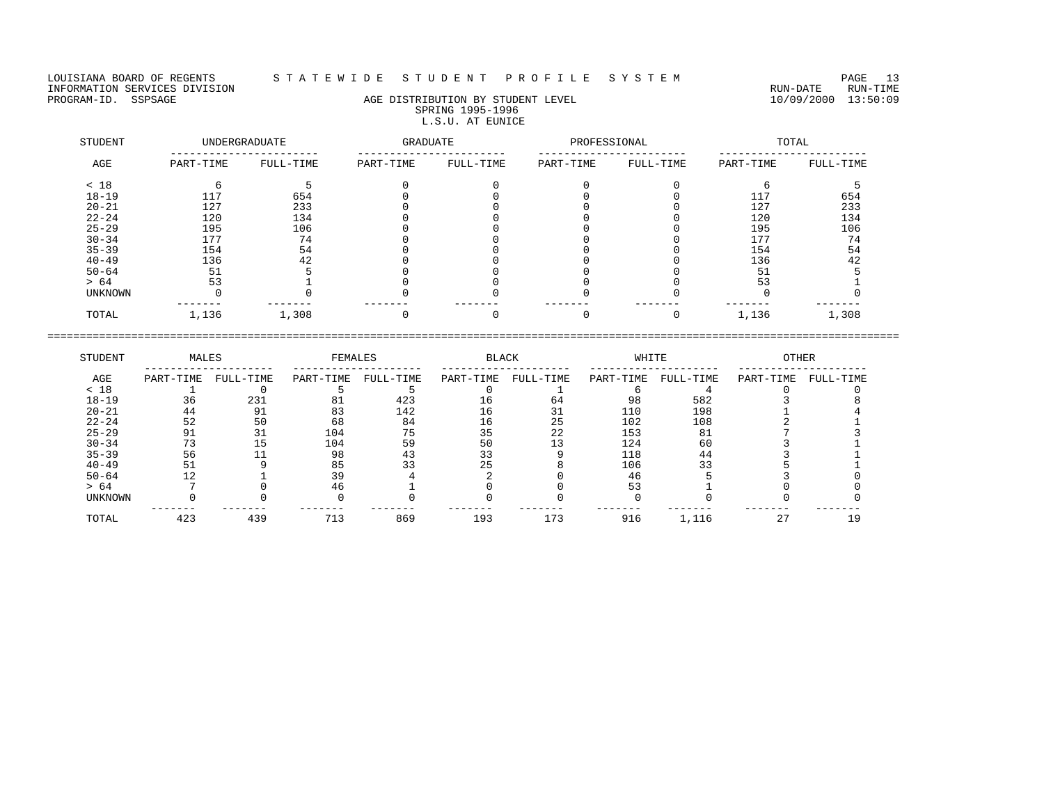LOUISIANA BOARD OF REGENTS STATEWIDE STUDENT PROFILE SYSTEM PAGE 13<br>INFORMATION SERVICES DIVISION INFORMATION SERVICES DIVISION<br>PROGRAM-ID. SSPSAGE RUN-TIME RUN-DATE RUN-TIME RUN-DATE RUN-TIME<br>PROGRAM-ID. SSPSAGE 13:50:09

## AGE DISTRIBUTION BY STUDENT LEVEL SPRING 1995-1996 L.S.U. AT EUNICE

| STUDENT   |           | UNDERGRADUATE | GRADUATE  |           | PROFESSIONAL |           |           | TOTAL     |
|-----------|-----------|---------------|-----------|-----------|--------------|-----------|-----------|-----------|
| AGE       | PART-TIME | FULL-TIME     | PART-TIME | FULL-TIME | PART-TIME    | FULL-TIME | PART-TIME | FULL-TIME |
| < 18      |           |               |           |           |              |           |           |           |
| $18 - 19$ | 117       | 654           |           |           |              |           | 117       | 654       |
| $20 - 21$ | 127       | 233           |           |           |              |           | 127       | 233       |
| $22 - 24$ | 120       | 134           |           |           |              |           | 120       | 134       |
| $25 - 29$ | 195       | 106           |           |           |              |           | 195       | 106       |
| $30 - 34$ | 177       | 74            |           |           |              |           | 177       | 74        |
| $35 - 39$ | 154       | 54            |           |           |              |           | 154       | 54        |
| $40 - 49$ | 136       | 42            |           |           |              |           | 136       | 42        |
| $50 - 64$ | 51        |               |           |           |              |           | 51        |           |
| > 64      | 53        |               |           |           |              |           | 53        |           |
| UNKNOWN   |           |               |           |           |              |           |           |           |
| TOTAL     | 1,136     | 1,308         |           |           |              |           | 1,136     | 1,308     |

| STUDENT   | MALES     |           | FEMALES   |           | <b>BLACK</b> |           | WHITE     |           | <b>OTHER</b> |           |
|-----------|-----------|-----------|-----------|-----------|--------------|-----------|-----------|-----------|--------------|-----------|
| AGE       | PART-TIME | FULL-TIME | PART-TIME | FULL-TIME | PART-TIME    | FULL-TIME | PART-TIME | FULL-TIME | PART-TIME    | FULL-TIME |
| < 18      |           |           |           |           |              |           |           |           |              |           |
| $18 - 19$ | 36        | 231       |           | 423       | -6           | 64        | 98        | 582       |              |           |
| $20 - 21$ | 44        | 91        | 83        | 142       | L6           |           | 110       | 198       |              |           |
| $22 - 24$ | 52        | 50        | 68        | 84        | 16           | 25        | 102       | 108       |              |           |
| $25 - 29$ | 91        |           | 104       | 75        | 35           | 22        | 153       | 81        |              |           |
| $30 - 34$ | 73        | L5        | 104       | 59        | 50           |           | 124       | 60        |              |           |
| $35 - 39$ | 56        |           | 98        | 43        |              |           | 118       | 44        |              |           |
| $40 - 49$ |           |           | 85        |           | 25           |           | 106       | 33        |              |           |
| $50 - 64$ |           |           | 39        |           |              |           | 46        |           |              |           |
| > 64      |           |           | 46        |           |              |           |           |           |              |           |
| UNKNOWN   |           |           |           |           |              |           |           |           |              |           |
| TOTAL     | 423       | 439       | 713       | 869       | 193          | 173       | 916       | 1,116     | Ζ.           |           |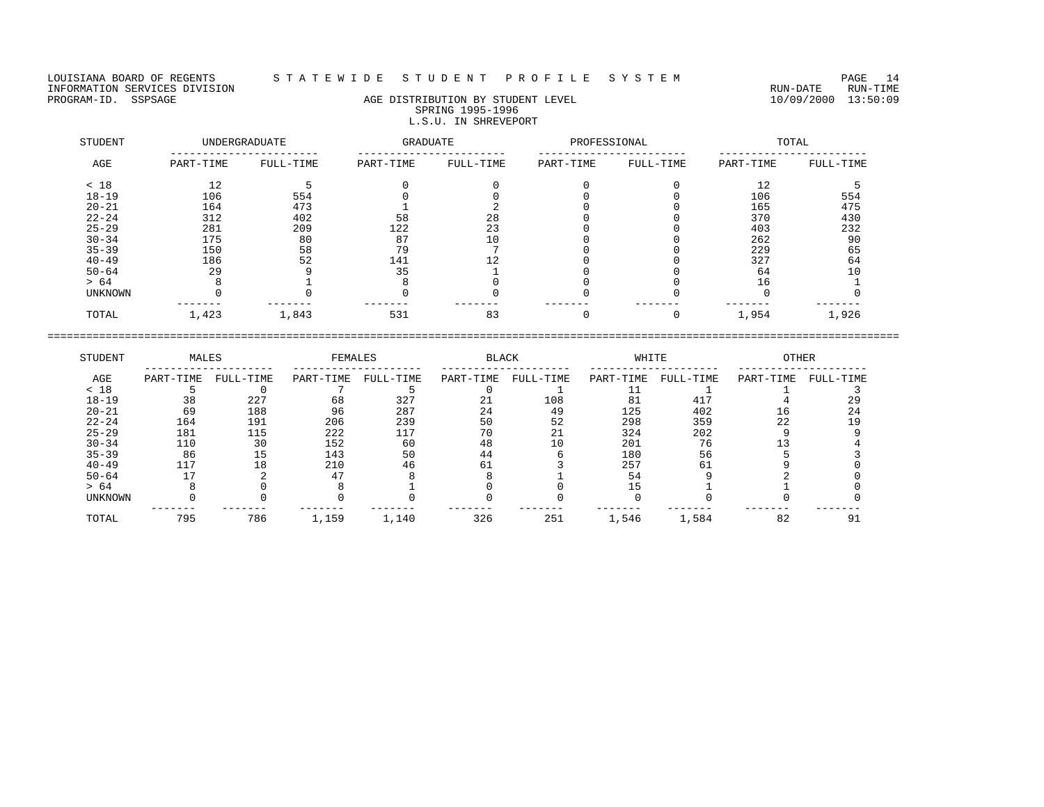## LOUISIANA BOARD OF REGENTS S T A T E W I D E S T U D E N T P R O F I L E S Y S T E M PAGE 14

# PROGRAM-ID. SSPSAGE AGE DISTRIBUTION BY STUDENT LEVEL 10/09/2000 13:50:09 SPRING 1995-1996 L.S.U. IN SHREVEPORT

| STUDENT   |           | UNDERGRADUATE | GRADUATE  |           | PROFESSIONAL |           |           | TOTAL     |
|-----------|-----------|---------------|-----------|-----------|--------------|-----------|-----------|-----------|
| AGE       | PART-TIME | FULL-TIME     | PART-TIME | FULL-TIME | PART-TIME    | FULL-TIME | PART-TIME | FULL-TIME |
| < 18      | 12        |               |           |           |              |           | 12        |           |
| $18 - 19$ | 106       | 554           |           |           |              |           | 106       | 554       |
| $20 - 21$ | 164       | 473           |           |           |              |           | 165       | 475       |
| $22 - 24$ | 312       | 402           | 58        | 28        |              |           | 370       | 430       |
| $25 - 29$ | 281       | 209           | 122       | 23        |              |           | 403       | 232       |
| $30 - 34$ | 175       | 80            | 87        | 10        |              |           | 262       | 90        |
| $35 - 39$ | 150       | 58            | 79        |           |              |           | 229       | 65        |
| $40 - 49$ | 186       | 52            | 141       | 12        |              |           | 327       | 64        |
| $50 - 64$ | 29        |               | 35        |           |              |           | 64        | 10        |
| > 64      |           |               |           |           |              |           | 16        |           |
| UNKNOWN   |           |               |           |           |              |           |           |           |
| TOTAL     | 1,423     | 1,843         | 531       | 83        |              |           | 1,954     | 1,926     |

| STUDENT        | MALES     |           | FEMALES   |           | <b>BLACK</b> |           | WHITE     |           | <b>OTHER</b> |           |
|----------------|-----------|-----------|-----------|-----------|--------------|-----------|-----------|-----------|--------------|-----------|
| AGE            | PART-TIME | FULL-TIME | PART-TIME | FULL-TIME | PART-TIME    | FULL-TIME | PART-TIME | FULL-TIME | PART-TIME    | FULL-TIME |
| < 18           |           |           |           |           |              |           |           |           |              |           |
| $18 - 19$      | 38        | 227       | 68        | 327       | 21           | 108       | 81        | 417       |              | 29        |
| $20 - 21$      | 69        | 188       | 96        | 287       | 24           | 49        | 125       | 402       | ΤP           | 24        |
| $22 - 24$      | 164       | 191       | 206       | 239       | 50           | 52        | 298       | 359       | 22           |           |
| $25 - 29$      | 181       | 115       | 222       | 117       | 70           |           | 324       | 202       |              |           |
| $30 - 34$      | 110       | 30        | 152       | 60        | 48           | 10        | 201       | 76        |              |           |
| $35 - 39$      | 86        | 15        | 143       | 50        | 44           |           | 180       | 56        |              |           |
| $40 - 49$      | 117       | 18        | 210       | 46        | 61           |           | 257       | 61        |              |           |
| $50 - 64$      |           |           |           |           |              |           |           |           |              |           |
| > 64           |           |           |           |           |              |           |           |           |              |           |
| <b>UNKNOWN</b> |           |           |           |           |              |           |           |           |              |           |
| TOTAL          | 795       | 786       | 1,159     | 1,140     | 326          | 251       | 1,546     | 1,584     | 82           | 91        |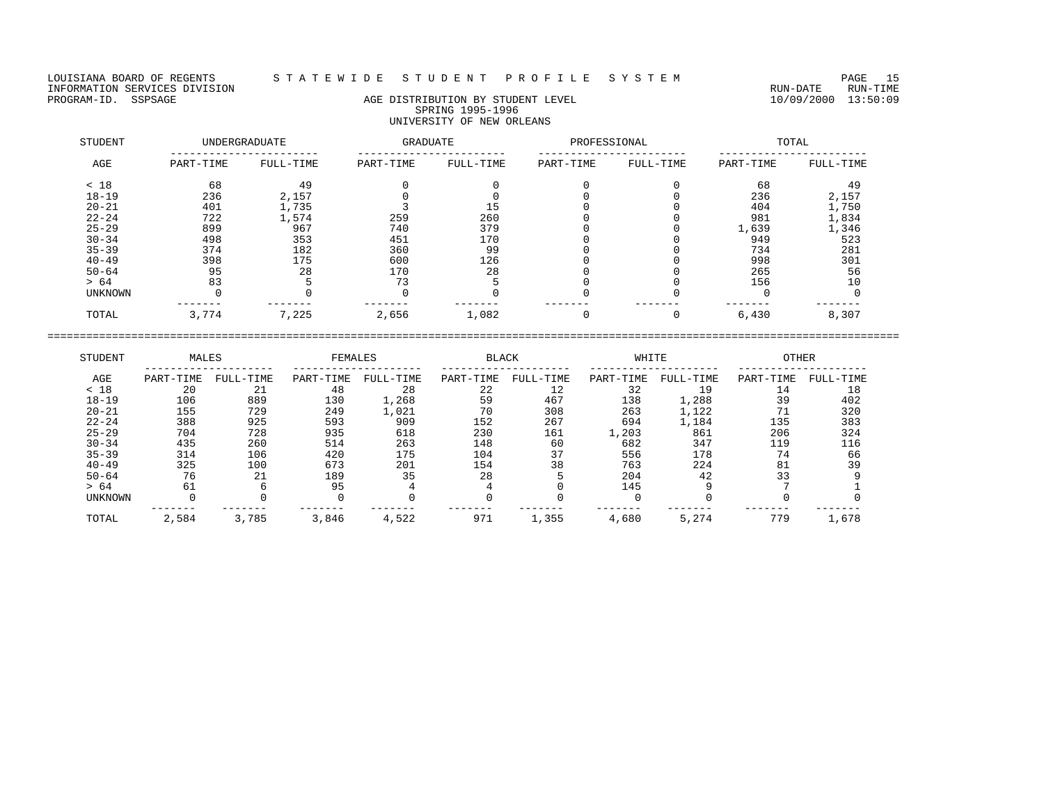LOUISIANA BOARD OF REGENTS STATEWIDE STUDENT PROFILE SYSTEM PAGE 15<br>INFORMATION SERVICES DIVISION INFORMATION SERVICES DIVISION<br>PROGRAM-ID. SSPSAGE RUN-TIME RUN-DATE RUN-TIME RUN-DATE RUN-DATE RUN-DATE RUN-DATE RUN-DATE RUN-TIME

# AGE DISTRIBUTION BY STUDENT LEVEL SPRING 1995-1996 UNIVERSITY OF NEW ORLEANS

| STUDENT        |           | UNDERGRADUATE | <b>GRADUATE</b> |           | PROFESSIONAL |           |           | TOTAL     |
|----------------|-----------|---------------|-----------------|-----------|--------------|-----------|-----------|-----------|
| AGE            | PART-TIME | FULL-TIME     | PART-TIME       | FULL-TIME | PART-TIME    | FULL-TIME | PART-TIME | FULL-TIME |
| < 18           | 68        | 49            |                 |           |              |           | 68        | 49        |
| $18 - 19$      | 236       | 2,157         |                 |           |              |           | 236       | 2,157     |
| $20 - 21$      | 401       | 1,735         |                 | 15        |              |           | 404       | 1,750     |
| $22 - 24$      | 722       | 1,574         | 259             | 260       |              |           | 981       | 1,834     |
| $25 - 29$      | 899       | 967           | 740             | 379       |              |           | 1,639     | 1,346     |
| $30 - 34$      | 498       | 353           | 451             | 170       |              |           | 949       | 523       |
| $35 - 39$      | 374       | 182           | 360             | 99        |              |           | 734       | 281       |
| $40 - 49$      | 398       | 175           | 600             | 126       |              |           | 998       | 301       |
| $50 - 64$      | 95        | 28            | 170             | 28        |              |           | 265       | 56        |
| > 64           | 83        |               | 73              |           |              |           | 156       | 10        |
| <b>UNKNOWN</b> |           |               |                 |           |              |           |           |           |
| TOTAL          | 3,774     | 7,225         | 2,656           | 1,082     |              | 0         | 6,430     | 8,307     |

| STUDENT        | MALES     |           | FEMALES   |           | <b>BLACK</b> |           | WHITE     |           | <b>OTHER</b> |           |
|----------------|-----------|-----------|-----------|-----------|--------------|-----------|-----------|-----------|--------------|-----------|
| AGE            | PART-TIME | FULL-TIME | PART-TIME | FULL-TIME | PART-TIME    | FULL-TIME | PART-TIME | FULL-TIME | PART-TIME    | FULL-TIME |
| < 18           | 20        | 21        | 48        | 28        | 22           | 12        | 32        | 19        | 14           | 18        |
| $18 - 19$      | 106       | 889       | 130       | 1,268     | 59           | 467       | 138       | 1,288     | 39           | 402       |
| $20 - 21$      | 155       | 729       | 249       | 1,021     | 70           | 308       | 263       | 1,122     | 71           | 320       |
| $22 - 24$      | 388       | 925       | 593       | 909       | 152          | 267       | 694       | 1,184     | 135          | 383       |
| $25 - 29$      | 704       | 728       | 935       | 618       | 230          | 161       | 1,203     | 861       | 206          | 324       |
| $30 - 34$      | 435       | 260       | 514       | 263       | 148          | 60        | 682       | 347       | 119          | 116       |
| $35 - 39$      | 314       | 106       | 420       | 175       | 104          | 37        | 556       | 178       | 74           | 66        |
| $40 - 49$      | 325       | 100       | 673       | 201       | 154          | 38        | 763       | 224       | 81           | 39        |
| $50 - 64$      | 76        | 21        | 189       | 35        | 28           |           | 204       | 42        | 33           |           |
| > 64           | 61        |           | 95        |           |              |           | 145       |           |              |           |
| <b>UNKNOWN</b> |           |           |           |           |              |           |           |           |              |           |
| TOTAL          | 2,584     | 3,785     | 3,846     | 4,522     | 971          | 1,355     | 4,680     | 5,274     | 779          | 1,678     |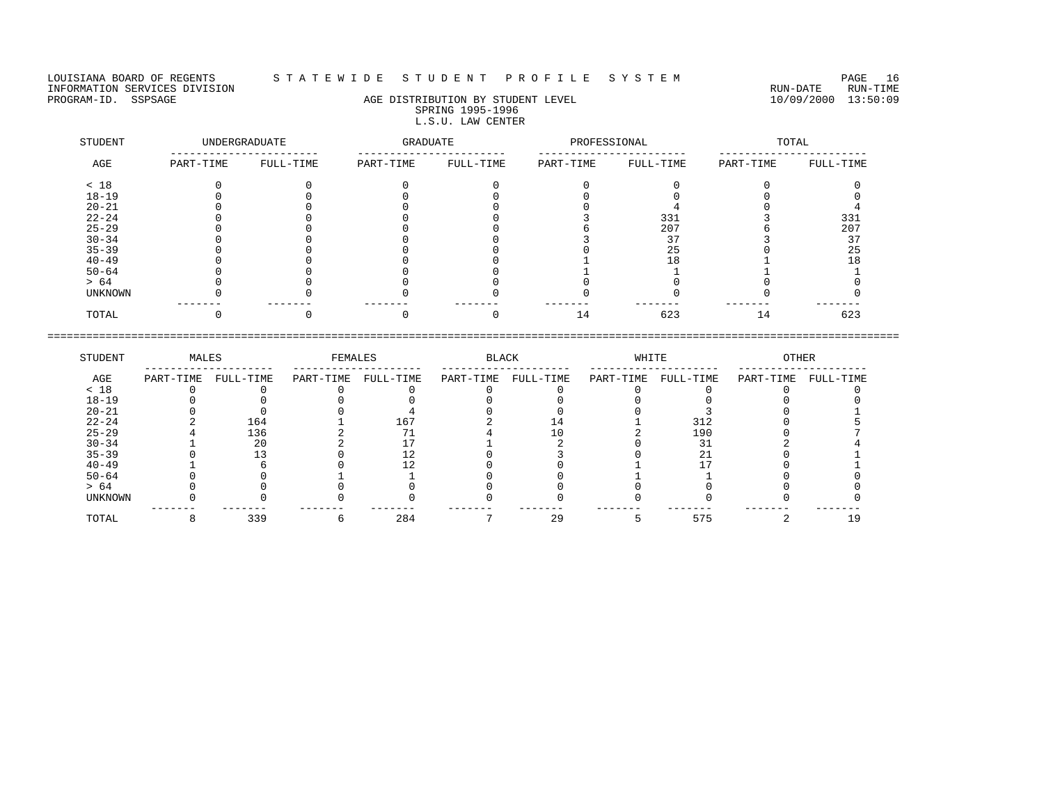LOUISIANA BOARD OF REGENTS STATEWIDE STUDENT PROFILE SYSTEM PAGE 16<br>INFORMATION SERVICES DIVISION INFORMATION SERVICES DIVISION<br>PROGRAM-ID. SSPSAGE RUN-TIME RUN-DATE RUN-TIME RUN-DATE RUN-DATE RUN-DATE RUN-DATE RUN-DATE RUN-TIME

## AGE DISTRIBUTION BY STUDENT LEVEL SPRING 1995-1996 L.S.U. LAW CENTER

| STUDENT   |           | UNDERGRADUATE | <b>GRADUATE</b> |           | PROFESSIONAL |           |           | TOTAL     |
|-----------|-----------|---------------|-----------------|-----------|--------------|-----------|-----------|-----------|
| AGE       | PART-TIME | FULL-TIME     | PART-TIME       | FULL-TIME | PART-TIME    | FULL-TIME | PART-TIME | FULL-TIME |
| < 18      |           |               |                 |           |              |           |           |           |
| $18 - 19$ |           |               |                 |           |              |           |           |           |
| $20 - 21$ |           |               |                 |           |              |           |           |           |
| $22 - 24$ |           |               |                 |           |              | 331       |           | 331       |
| $25 - 29$ |           |               |                 |           |              | 207       |           | 207       |
| $30 - 34$ |           |               |                 |           |              | 37        |           | 37        |
| $35 - 39$ |           |               |                 |           |              | 25        |           | 25        |
| $40 - 49$ |           |               |                 |           |              | 18        |           | -8        |
| $50 - 64$ |           |               |                 |           |              |           |           |           |
| > 64      |           |               |                 |           |              |           |           |           |
| UNKNOWN   |           |               |                 |           |              |           |           |           |
| TOTAL     |           |               |                 |           |              | 623       | 14        | 623       |

| STUDENT        | MALES     |           | FEMALES   |           | <b>BLACK</b> |           | WHITE     |           | <b>OTHER</b> |           |
|----------------|-----------|-----------|-----------|-----------|--------------|-----------|-----------|-----------|--------------|-----------|
| AGE            | PART-TIME | FULL-TIME | PART-TIME | FULL-TIME | PART-TIME    | FULL-TIME | PART-TIME | FULL-TIME | PART-TIME    | FULL-TIME |
| < 18           |           |           |           |           |              |           |           |           |              |           |
| $18 - 19$      |           |           |           |           |              |           |           |           |              |           |
| $20 - 21$      |           |           |           |           |              |           |           |           |              |           |
| $22 - 24$      |           | 164       |           | 167       |              |           |           | 312       |              |           |
| $25 - 29$      |           | 136       |           |           |              |           |           | 190       |              |           |
| $30 - 34$      |           | 20        |           |           |              |           |           |           |              |           |
| $35 - 39$      |           |           |           |           |              |           |           |           |              |           |
| $40 - 49$      |           |           |           |           |              |           |           |           |              |           |
| $50 - 64$      |           |           |           |           |              |           |           |           |              |           |
| > 64           |           |           |           |           |              |           |           |           |              |           |
| <b>UNKNOWN</b> |           |           |           |           |              |           |           |           |              |           |
| TOTAL          |           | 339       |           | 284       |              | 29        |           | 575       |              |           |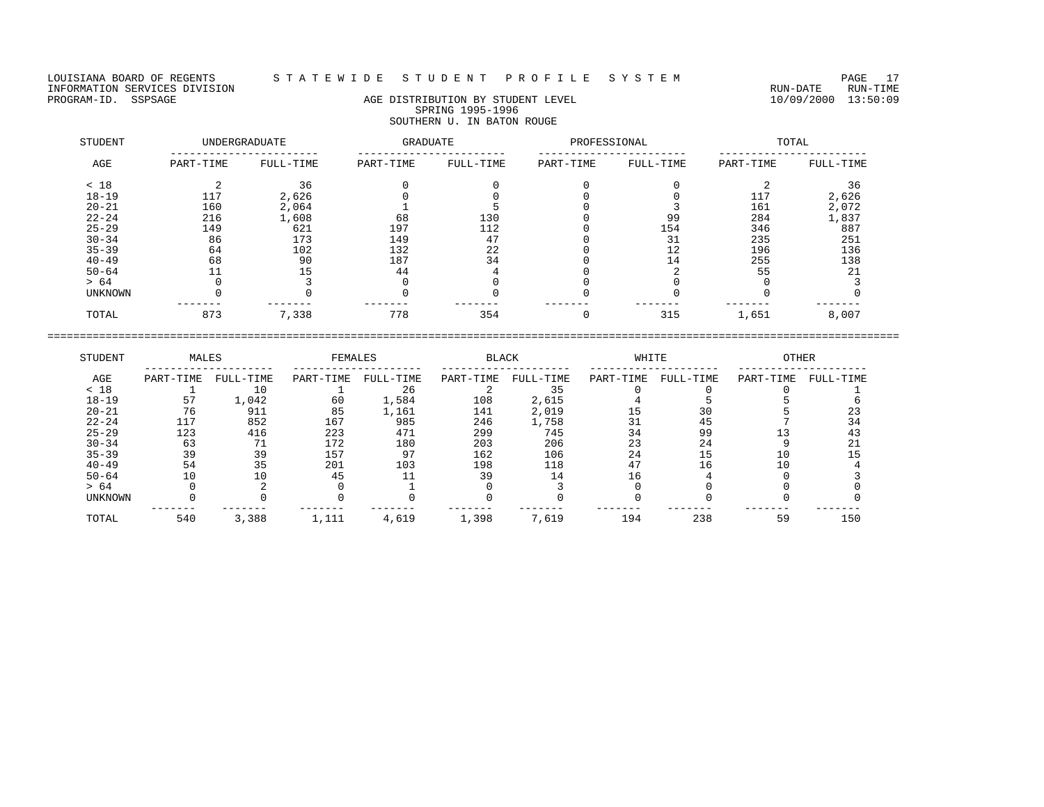LOUISIANA BOARD OF REGENTS STATEWIDE STUDENT PROFILE SYSTEM PAGE 17<br>INFORMATION SERVICES DIVISION INFORMATION SERVICES DIVISION<br>PROGRAM-ID. SSPSAGE RUN-TIME RUN-DATE RUN-TIME RUN-DATE RUN-DATE RUN-DATE RUN-DATE RUN-DATE RUN-TIME

# AGE DISTRIBUTION BY STUDENT LEVEL SPRING 1995-1996 SOUTHERN U. IN BATON ROUGE

| STUDENT   |           | UNDERGRADUATE | GRADUATE  |           | PROFESSIONAL |           |           | TOTAL     |
|-----------|-----------|---------------|-----------|-----------|--------------|-----------|-----------|-----------|
| AGE       | PART-TIME | FULL-TIME     | PART-TIME | FULL-TIME | PART-TIME    | FULL-TIME | PART-TIME | FULL-TIME |
| < 18      |           | 36            |           |           |              |           |           | 36        |
| $18 - 19$ | 117       | 2,626         |           |           |              |           | 117       | 2,626     |
| $20 - 21$ | 160       | 2,064         |           |           |              |           | 161       | 2,072     |
| $22 - 24$ | 216       | 1,608         | 68        | 130       |              | 99        | 284       | 1,837     |
| $25 - 29$ | 149       | 621           | 197       | 112       |              | 154       | 346       | 887       |
| $30 - 34$ | 86        | 173           | 149       | 47        |              | 31        | 235       | 251       |
| $35 - 39$ | 64        | 102           | 132       | 22        |              | 12        | 196       | 136       |
| $40 - 49$ | 68        | 90            | 187       | 34        |              | 14        | 255       | 138       |
| $50 - 64$ |           | 15            | 44        |           |              |           | 55        | 21        |
| > 64      |           |               |           |           |              |           |           |           |
| UNKNOWN   |           |               |           |           |              |           |           |           |
| TOTAL     | 873       | 7,338         | 778       | 354       |              | 315       | 1,651     | 8,007     |

| STUDENT        | MALES     |           | FEMALES   |           | <b>BLACK</b> |           | WHITE     |           | <b>OTHER</b> |           |
|----------------|-----------|-----------|-----------|-----------|--------------|-----------|-----------|-----------|--------------|-----------|
| AGE            | PART-TIME | FULL-TIME | PART-TIME | FULL-TIME | PART-TIME    | FULL-TIME | PART-TIME | FULL-TIME | PART-TIME    | FULL-TIME |
| < 18           |           | 10        |           | 26        |              | 35        |           |           |              |           |
| $18 - 19$      | 57        | 1,042     | 60        | 1,584     | 108          | 2,615     |           |           |              |           |
| $20 - 21$      | 76        | 911       | 85        | 1,161     | 141          | 2,019     |           | 30        |              | 23        |
| $22 - 24$      | 117       | 852       | 167       | 985       | 246          | 1,758     |           | 45        |              | 34        |
| $25 - 29$      | 123       | 416       | 223       | 471       | 299          | 745       | 34        | 99        |              | 43        |
| $30 - 34$      | 63        |           | 172       | 180       | 203          | 206       | 23        | 24        |              |           |
| $35 - 39$      | 39        | 39        | 157       | 97        | 162          | 106       | 24        | 15        |              |           |
| $40 - 49$      | 54        | 35        | 201       | 103       | 198          | 118       |           | 16        |              |           |
| $50 - 64$      | 10        | 10        | 45        |           | 39           | 14        |           |           |              |           |
| > 64           |           |           |           |           |              |           |           |           |              |           |
| <b>UNKNOWN</b> |           |           |           |           |              |           |           |           |              |           |
| TOTAL          | 540       | 3,388     | 1,111     | 4,619     | 1,398        | 7,619     | 194       | 238       | 59           | 150       |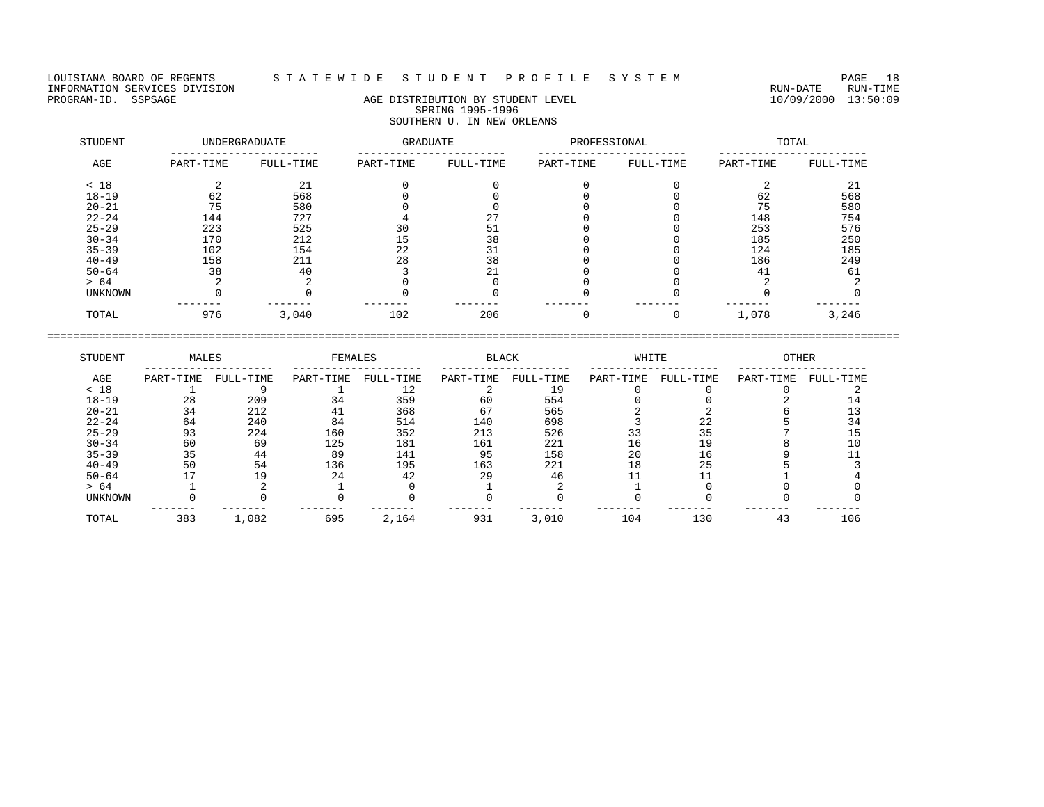## LOUISIANA BOARD OF REGENTS S T A T E W I D E S T U D E N T P R O F I L E S Y S T E M PAGE 18

# PROGRAM-ID. SSPSAGE AGE DISTRIBUTION BY STUDENT LEVEL 10/09/2000 13:50:09 SPRING 1995-1996 SOUTHERN U. IN NEW ORLEANS

| STUDENT        |           | UNDERGRADUATE | <b>GRADUATE</b> |           | PROFESSIONAL |           |           | TOTAL     |
|----------------|-----------|---------------|-----------------|-----------|--------------|-----------|-----------|-----------|
| AGE            | PART-TIME | FULL-TIME     | PART-TIME       | FULL-TIME | PART-TIME    | FULL-TIME | PART-TIME | FULL-TIME |
| < 18           |           | 21            |                 |           |              |           |           | 21        |
| $18 - 19$      | 62        | 568           |                 |           |              |           | 62        | 568       |
| $20 - 21$      | 75        | 580           |                 |           |              |           | 75        | 580       |
| $22 - 24$      | 144       | 727           |                 | 27        |              |           | 148       | 754       |
| $25 - 29$      | 223       | 525           | 30              | 51        |              |           | 253       | 576       |
| $30 - 34$      | 170       | 212           | 15              | 38        |              |           | 185       | 250       |
| $35 - 39$      | 102       | 154           | 22              | 31        |              |           | 124       | 185       |
| $40 - 49$      | 158       | 211           | 28              | 38        |              |           | 186       | 249       |
| $50 - 64$      | 38        | 40            |                 | 21        |              |           | 41        | 61        |
| > 64           |           |               |                 |           |              |           |           |           |
| <b>UNKNOWN</b> |           |               |                 |           |              |           |           |           |
| TOTAL          | 976       | 3,040         | 102             | 206       |              |           | 1,078     | 3,246     |

| STUDENT        | MALES     |           | FEMALES   |           | <b>BLACK</b> |           | WHITE     |           | <b>OTHER</b> |           |
|----------------|-----------|-----------|-----------|-----------|--------------|-----------|-----------|-----------|--------------|-----------|
| AGE            | PART-TIME | FULL-TIME | PART-TIME | FULL-TIME | PART-TIME    | FULL-TIME | PART-TIME | FULL-TIME | PART-TIME    | FULL-TIME |
| < 18           |           |           |           |           |              | 19        |           |           |              |           |
| $18 - 19$      | 28        | 209       | 34        | 359       | 60           | 554       |           |           |              |           |
| $20 - 21$      | 34        | 212       | 41        | 368       | 67           | 565       |           |           |              |           |
| $22 - 24$      | 64        | 240       | 84        | 514       | 140          | 698       |           | 22        |              | 34        |
| $25 - 29$      | 93        | 224       | 160       | 352       | 213          | 526       |           | 35        |              |           |
| $30 - 34$      | 60        | 69        | 125       | 181       | 161          | 221       | L 6       | 19        |              |           |
| $35 - 39$      | 35        | 44        | 89        | 141       | 95           | 158       | 20        | 16        |              |           |
| $40 - 49$      | 50        | 54        | 136       | 195       | 163          | 221       | 18        | 25        |              |           |
| $50 - 64$      |           | 19        | 24        | 42        | 29           | 46        |           |           |              |           |
| > 64           |           |           |           |           |              |           |           |           |              |           |
| <b>UNKNOWN</b> |           |           |           |           |              |           |           |           |              |           |
| TOTAL          | 383       | 1,082     | 695       | 2,164     | 931          | 3,010     | 104       | 130       | 43           | 106       |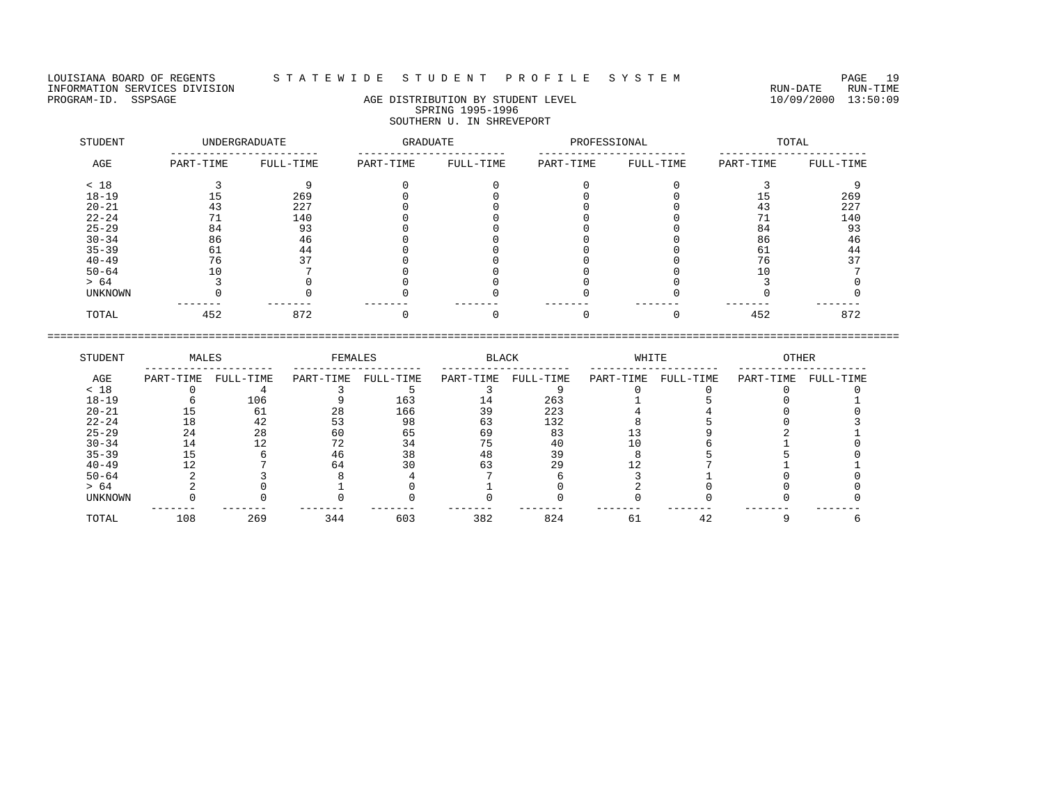LOUISIANA BOARD OF REGENTS S T A T E W I D E S T U D E N T P R O F I L E S Y S T E M PAGE 19 INFORMATION SERVICES DIVISION<br>PROGRAM-ID. SSPSAGE RUN-TIME RUN-DATE RUN-TIME RUN-DATE RUN-DATE RUN-DATE RUN-DATE RUN-DATE RUN-TIME

# AGE DISTRIBUTION BY STUDENT LEVEL SPRING 1995-1996 SOUTHERN U. IN SHREVEPORT

| STUDENT   | UNDERGRADUATE |           | GRADUATE  |           | PROFESSIONAL |           | TOTAL     |           |  |
|-----------|---------------|-----------|-----------|-----------|--------------|-----------|-----------|-----------|--|
| AGE       | PART-TIME     | FULL-TIME | PART-TIME | FULL-TIME | PART-TIME    | FULL-TIME | PART-TIME | FULL-TIME |  |
| < 18      |               |           |           |           |              |           |           |           |  |
| $18 - 19$ |               | 269       |           |           |              |           | 15        | 269       |  |
| $20 - 21$ | 43            | 227       |           |           |              |           | 43        | 227       |  |
| $22 - 24$ |               | 140       |           |           |              |           |           | 140       |  |
| $25 - 29$ | 84            | 93        |           |           |              |           | 84        | 93        |  |
| $30 - 34$ | 86            | 46        |           |           |              |           | 86        | 46        |  |
| $35 - 39$ | 61            | 44        |           |           |              |           | 61        | 44        |  |
| $40 - 49$ | 76            | 37        |           |           |              |           | 76        |           |  |
| $50 - 64$ | 10            |           |           |           |              |           |           |           |  |
| > 64      |               |           |           |           |              |           |           |           |  |
| UNKNOWN   |               |           |           |           |              |           |           |           |  |
| TOTAL     | 452           | 872       |           |           |              |           | 452       | 872       |  |

| STUDENT        | MALES     |           | FEMALES   |           | <b>BLACK</b> |           | WHITE     |           | <b>OTHER</b> |           |
|----------------|-----------|-----------|-----------|-----------|--------------|-----------|-----------|-----------|--------------|-----------|
| AGE            | PART-TIME | FULL-TIME | PART-TIME | FULL-TIME | PART-TIME    | FULL-TIME | PART-TIME | FULL-TIME | PART-TIME    | FULL-TIME |
| < 18           |           |           |           |           |              |           |           |           |              |           |
| $18 - 19$      |           | 106       |           | 163       | L 4          | 263       |           |           |              |           |
| $20 - 21$      |           | 61        | 28        | 166       |              | 223       |           |           |              |           |
| $22 - 24$      | 18        | 42        | 53        | 98        | 63           | 132       |           |           |              |           |
| $25 - 29$      | 24        | 28        | 60        | 65        | 69           | 83        |           |           |              |           |
| $30 - 34$      | 14        |           |           | 34        |              | 40        |           |           |              |           |
| $35 - 39$      |           |           | 46        | 38        | 48           | 39        |           |           |              |           |
| $40 - 49$      |           |           | 64        | 30        | 63           | 29        |           |           |              |           |
| $50 - 64$      |           |           |           |           |              |           |           |           |              |           |
| > 64           |           |           |           |           |              |           |           |           |              |           |
| <b>UNKNOWN</b> |           |           |           |           |              |           |           |           |              |           |
| TOTAL          | 108       | 269       | 344       | 603       | 382          | 824       | 61        | 42        |              |           |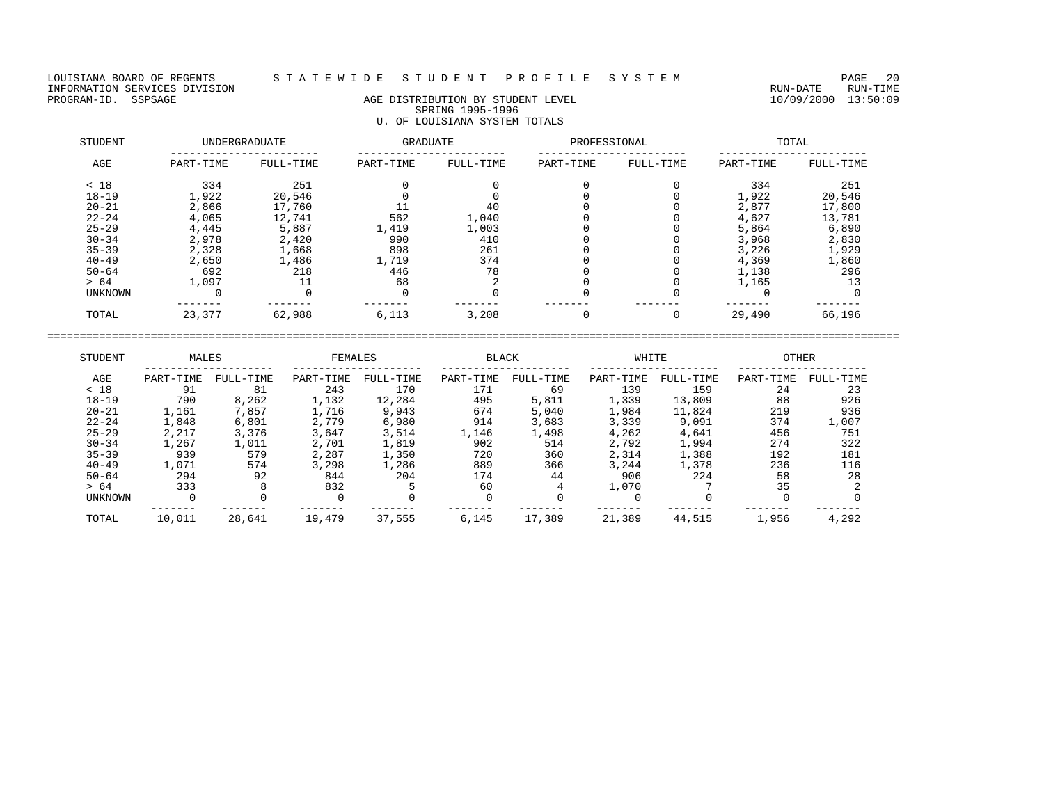LOUISIANA BOARD OF REGENTS STATEWIDE STUDENT PROFILE SYSTEM PAGE 20<br>INFORMATION SERVICES DIVISION INFORMATION SERVICES DIVISION<br>PROGRAM-ID. SSPSAGE DIVISION DE RUN-TIME AGE DISTRIBUTION BY STUDENT LEVEL PROGRAM-ID. SSPSAGE 13:50:09

# AGE DISTRIBUTION BY STUDENT LEVEL SPRING 1995-1996 U. OF LOUISIANA SYSTEM TOTALS

| STUDENT        | <b>UNDERGRADUATE</b> |           | <b>GRADUATE</b> |           | PROFESSIONAL |           | TOTAL     |           |  |
|----------------|----------------------|-----------|-----------------|-----------|--------------|-----------|-----------|-----------|--|
| AGE            | PART-TIME            | FULL-TIME | PART-TIME       | FULL-TIME | PART-TIME    | FULL-TIME | PART-TIME | FULL-TIME |  |
| < 18           | 334                  | 251       |                 |           |              |           | 334       | 251       |  |
| $18 - 19$      | 1,922                | 20,546    |                 |           |              |           | 1,922     | 20,546    |  |
| $20 - 21$      | 2,866                | 17,760    |                 | 40        |              |           | 2,877     | 17,800    |  |
| $22 - 24$      | 4,065                | 12,741    | 562             | 1,040     |              |           | 4,627     | 13,781    |  |
| $25 - 29$      | 4,445                | 5,887     | 1,419           | 1,003     |              |           | 5,864     | 6,890     |  |
| $30 - 34$      | 2,978                | 2,420     | 990             | 410       |              |           | 3,968     | 2,830     |  |
| $35 - 39$      | 2,328                | 1,668     | 898             | 261       |              |           | 3,226     | 1,929     |  |
| $40 - 49$      | 2,650                | 1,486     | 1,719           | 374       |              |           | 4,369     | 1,860     |  |
| $50 - 64$      | 692                  | 218       | 446             | 78        |              |           | 1,138     | 296       |  |
| > 64           | 1,097                |           | 68              |           |              |           | 1,165     | 13        |  |
| <b>UNKNOWN</b> |                      |           |                 |           |              |           |           |           |  |
| TOTAL          | 23,377               | 62,988    | 6,113           | 3,208     |              |           | 29,490    | 66,196    |  |

| STUDENT        | MALES     |           | FEMALES   |           | <b>BLACK</b> |           | WHITE     |           | <b>OTHER</b> |           |
|----------------|-----------|-----------|-----------|-----------|--------------|-----------|-----------|-----------|--------------|-----------|
| AGE            | PART-TIME | FULL-TIME | PART-TIME | FULL-TIME | PART-TIME    | FULL-TIME | PART-TIME | FULL-TIME | PART-TIME    | FULL-TIME |
| < 18           | 91        | 81        | 243       | 170       | 171          | 69        | 139       | 159       | 24           | 23        |
| $18 - 19$      | 790       | 8,262     | 1,132     | 12,284    | 495          | 5,811     | 1,339     | 13,809    | 88           | 926       |
| $20 - 21$      | 1,161     | 7,857     | 1,716     | 9,943     | 674          | 5,040     | 1,984     | 11,824    | 219          | 936       |
| $22 - 24$      | 1,848     | 6,801     | 2,779     | 6,980     | 914          | 3,683     | 3,339     | 9,091     | 374          | 1,007     |
| $25 - 29$      | 2,217     | 3,376     | 3,647     | 3,514     | 1,146        | 1,498     | 4,262     | 4,641     | 456          | 751       |
| $30 - 34$      | 1,267     | 1,011     | 2,701     | 1,819     | 902          | 514       | 2,792     | 1,994     | 274          | 322       |
| $35 - 39$      | 939       | 579       | 2,287     | 1,350     | 720          | 360       | 2,314     | 1,388     | 192          | 181       |
| $40 - 49$      | 1,071     | 574       | 3,298     | 1,286     | 889          | 366       | 3,244     | 1,378     | 236          | 116       |
| $50 - 64$      | 294       | 92        | 844       | 204       | 174          | 44        | 906       | 224       | 58           | 28        |
| > 64           | 333       |           | 832       |           | 60           |           | 1,070     |           | 35           |           |
| <b>UNKNOWN</b> |           |           |           |           |              |           |           |           |              |           |
| TOTAL          | 10,011    | 28,641    | 19,479    | 37,555    | 6,145        | 17,389    | 21,389    | 44,515    | 1,956        | 4,292     |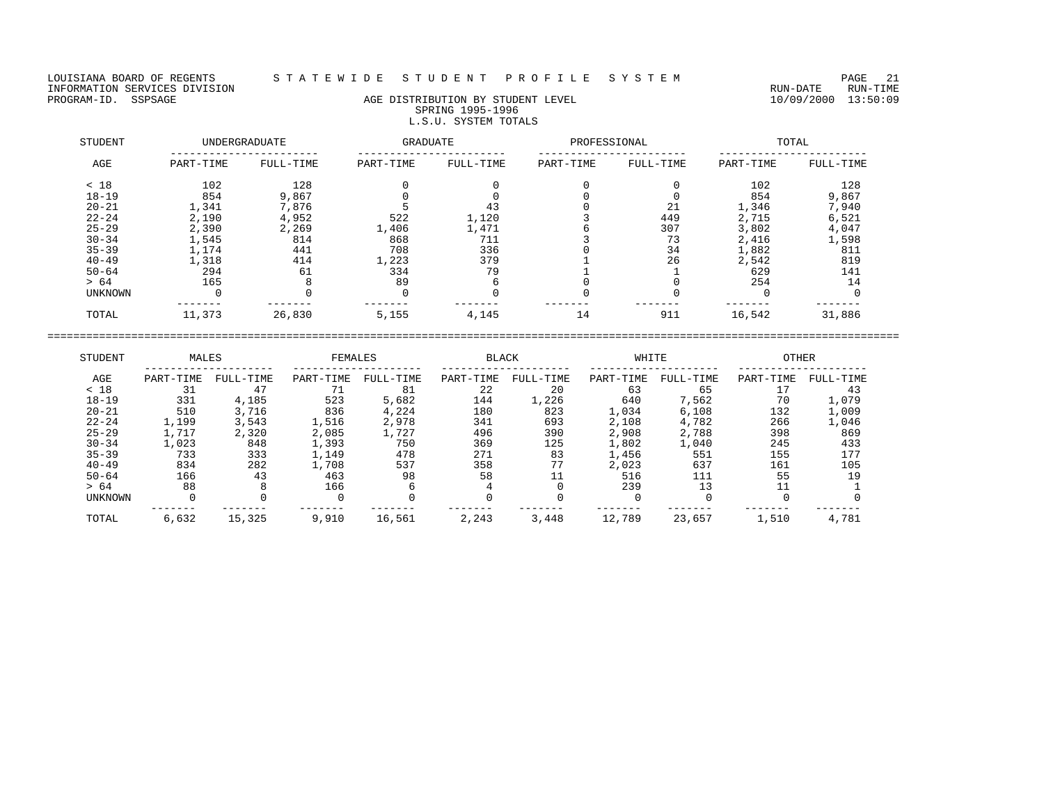LOUISIANA BOARD OF REGENTS STATEWIDE STUDENT PROFILE SYSTEM PAGE 21<br>INFORMATION SERVICES DIVISION INFORMATION SERVICES DIVISION<br>PROGRAM-ID. SSPSAGE RUN-TIME RUN-DATE RUN-TIME RUN-DATE RUN-TIME<br>PROGRAM-ID. SSPSAGE 13:50:09

## AGE DISTRIBUTION BY STUDENT LEVEL SPRING 1995-1996 L.S.U. SYSTEM TOTALS

| STUDENT        | <b>UNDERGRADUATE</b> |           | <b>GRADUATE</b> |           | PROFESSIONAL |           | TOTAL     |           |  |
|----------------|----------------------|-----------|-----------------|-----------|--------------|-----------|-----------|-----------|--|
| AGE            | PART-TIME            | FULL-TIME | PART-TIME       | FULL-TIME | PART-TIME    | FULL-TIME | PART-TIME | FULL-TIME |  |
| < 18           | 102                  | 128       |                 |           |              |           | 102       | 128       |  |
| $18 - 19$      | 854                  | 9,867     |                 |           |              |           | 854       | 9,867     |  |
| $20 - 21$      | 1,341                | 7,876     |                 | 43        |              | 21        | 1,346     | 7,940     |  |
| $22 - 24$      | 2,190                | 4,952     | 522             | 1,120     |              | 449       | 2,715     | 6,521     |  |
| $25 - 29$      | 2,390                | 2,269     | 1,406           | 1,471     |              | 307       | 3,802     | 4,047     |  |
| $30 - 34$      | 1,545                | 814       | 868             | 711       |              | 73        | 2,416     | 1,598     |  |
| $35 - 39$      | 1,174                | 441       | 708             | 336       |              | 34        | 1,882     | 811       |  |
| $40 - 49$      | 1,318                | 414       | 1,223           | 379       |              | 26        | 2,542     | 819       |  |
| $50 - 64$      | 294                  | 61        | 334             | 79        |              |           | 629       | 141       |  |
| > 64           | 165                  |           | 89              | 6         |              |           | 254       | 14        |  |
| <b>UNKNOWN</b> |                      |           |                 |           |              |           |           |           |  |
| TOTAL          | 11,373               | 26,830    | 5,155           | 4,145     | 14           | 911       | 16,542    | 31,886    |  |

| STUDENT        | MALES     |           | FEMALES   |           | <b>BLACK</b> |           | WHITE     |           | <b>OTHER</b> |           |
|----------------|-----------|-----------|-----------|-----------|--------------|-----------|-----------|-----------|--------------|-----------|
| AGE            | PART-TIME | FULL-TIME | PART-TIME | FULL-TIME | PART-TIME    | FULL-TIME | PART-TIME | FULL-TIME | PART-TIME    | FULL-TIME |
| < 18           | 31        | 47        |           | 81        | 22           | 20        | 63        | 65        |              | 43        |
| $18 - 19$      | 331       | 4,185     | 523       | 5,682     | 144          | 1,226     | 640       | 7,562     | 70           | 1,079     |
| $20 - 21$      | 510       | 3,716     | 836       | 4,224     | 180          | 823       | 1,034     | 6,108     | 132          | 1,009     |
| $22 - 24$      | 1,199     | 3,543     | 1,516     | 2,978     | 341          | 693       | 2,108     | 4,782     | 266          | 1,046     |
| $25 - 29$      | 1,717     | 2,320     | 2,085     | 1,727     | 496          | 390       | 2,908     | 2,788     | 398          | 869       |
| $30 - 34$      | 1,023     | 848       | 1,393     | 750       | 369          | 125       | 1,802     | 1,040     | 245          | 433       |
| $35 - 39$      | 733       | 333       | 1,149     | 478       | 271          | 83        | 1,456     | 551       | 155          | 177       |
| $40 - 49$      | 834       | 282       | 1,708     | 537       | 358          | 77        | 2,023     | 637       | 161          | 105       |
| $50 - 64$      | 166       | 43        | 463       | 98        | 58           |           | 516       | 111       | 55           | 19        |
| > 64           | 88        |           | 166       |           |              |           | 239       | 13        |              |           |
| <b>UNKNOWN</b> |           |           |           |           |              |           |           |           |              |           |
| TOTAL          | 6,632     | 15,325    | 9,910     | 16,561    | 2,243        | 3,448     | 12,789    | 23,657    | 1,510        | 4,781     |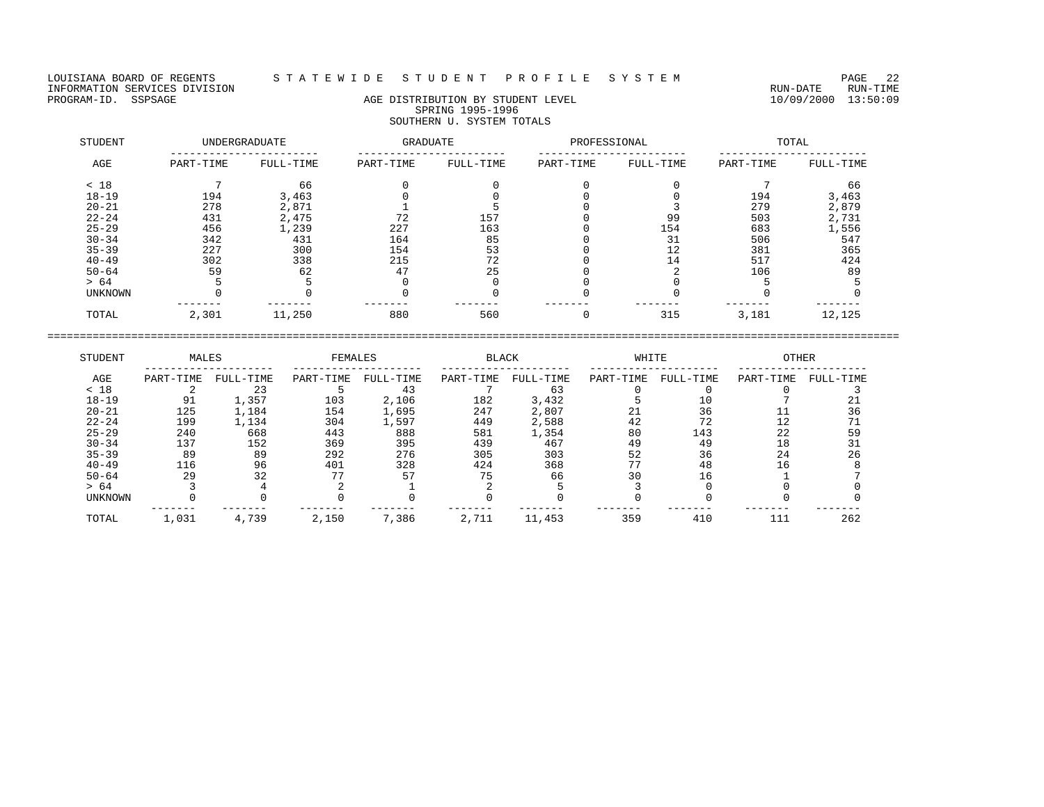LOUISIANA BOARD OF REGENTS STATEWIDE STUDENT PROFILE SYSTEM PAGE 22<br>INFORMATION SERVICES DIVISION INFORMATION SERVICES DIVISION<br>PROGRAM-ID. SSPSAGE RUN-TIME AGE DISTRIBUTION BY STUDENT LEVEL FOR AN ANDERE RUN-DATE RUN-TIME

# AGE DISTRIBUTION BY STUDENT LEVEL SPRING 1995-1996 SOUTHERN U. SYSTEM TOTALS

| STUDENT   | <b>UNDERGRADUATE</b> |           | GRADUATE  |           | PROFESSIONAL |           | TOTAL     |           |  |
|-----------|----------------------|-----------|-----------|-----------|--------------|-----------|-----------|-----------|--|
| AGE       | PART-TIME            | FULL-TIME | PART-TIME | FULL-TIME | PART-TIME    | FULL-TIME | PART-TIME | FULL-TIME |  |
| < 18      |                      | 66        |           |           |              |           |           | 66        |  |
| $18 - 19$ | 194                  | 3,463     |           |           |              |           | 194       | 3,463     |  |
| $20 - 21$ | 278                  | 2,871     |           |           |              |           | 279       | 2,879     |  |
| $22 - 24$ | 431                  | 2,475     | 72        | 157       |              | 99        | 503       | 2,731     |  |
| $25 - 29$ | 456                  | 1,239     | 227       | 163       |              | 154       | 683       | 1,556     |  |
| $30 - 34$ | 342                  | 431       | 164       | 85        |              | 31        | 506       | 547       |  |
| $35 - 39$ | 227                  | 300       | 154       | 53        |              | 12        | 381       | 365       |  |
| $40 - 49$ | 302                  | 338       | 215       | 72        |              | 14        | 517       | 424       |  |
| $50 - 64$ | 59                   | 62        | 47        | 25        |              |           | 106       | 89        |  |
| > 64      |                      |           |           |           |              |           |           |           |  |
| UNKNOWN   |                      |           |           |           |              |           |           |           |  |
| TOTAL     | 2,301                | 11,250    | 880       | 560       |              | 315       | 3,181     | 12,125    |  |

| STUDENT        | MALES     |           | FEMALES   |           | <b>BLACK</b> |           | WHITE     |           | <b>OTHER</b> |           |
|----------------|-----------|-----------|-----------|-----------|--------------|-----------|-----------|-----------|--------------|-----------|
| AGE            | PART-TIME | FULL-TIME | PART-TIME | FULL-TIME | PART-TIME    | FULL-TIME | PART-TIME | FULL-TIME | PART-TIME    | FULL-TIME |
| < 18           |           | 23        |           | 43        |              | 63        |           |           |              |           |
| $18 - 19$      | 91        | 1,357     | 103       | 2,106     | 182          | 3,432     |           |           |              |           |
| $20 - 21$      | 125       | 1,184     | 154       | 1,695     | 247          | 2,807     |           | 36        |              | 36        |
| $22 - 24$      | 199       | 1,134     | 304       | 1,597     | 449          | 2,588     | 42        | 72        |              |           |
| $25 - 29$      | 240       | 668       | 443       | 888       | 581          | 1,354     | 80        | 143       | 22           | 59        |
| $30 - 34$      | 137       | 152       | 369       | 395       | 439          | 467       | 49        | 49        |              |           |
| $35 - 39$      | 89        | 89        | 292       | 276       | 305          | 303       | 52        | 36        | 24           | 26        |
| $40 - 49$      | 116       | 96        | 401       | 328       | 424          | 368       | חח        | 48        | 16           |           |
| $50 - 64$      | 29        | 32        |           | 57        | 75           | 66        | 30        | 16        |              |           |
| > 64           |           |           |           |           |              |           |           |           |              |           |
| <b>UNKNOWN</b> |           |           |           |           |              |           |           |           |              |           |
| TOTAL          | 1,031     | 4,739     | 2,150     | 7,386     | 2,711        | 11,453    | 359       | 410       | 111          | 262       |